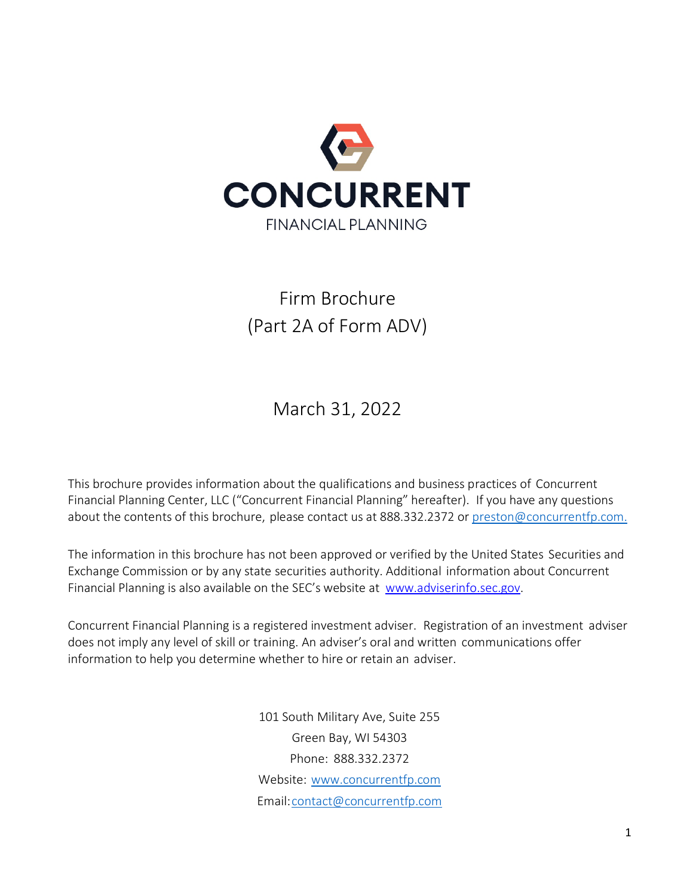

# <span id="page-0-0"></span>Firm Brochure (Part 2A of Form ADV)

March 31, 2022

<span id="page-0-1"></span>This brochure provides information about the qualifications and business practices of Concurrent Financial Planning Center, LLC ("Concurrent Financial Planning" hereafter). If you have any questions about the contents of this brochure, please contact us at 888.332.2372 or [preston@concurrentfp.com.](mailto:preston@concurrentfp.com.)

The information in this brochure has not been approved or verified by the United States Securities and Exchange Commission or by any state securities authority. Additional information about Concurrent Financial Planning is also available on the SEC's website at [www.adviserinfo.sec.gov.](http://www.adviserinfo.sec.gov/)

Concurrent Financial Planning is a registered investment adviser. Registration of an investment adviser does not imply any level of skill or training. An adviser's oral and written communications offer information to help you determine whether to hire or retain an adviser.

> 101 South Military Ave, Suite 255 Green Bay, WI 54303 Phone: 888.332.2372 Website: [www.concurrentfp.com](http://www.concrrentfp.com/) Email[:contact@concurrentfp.com](mailto:contact@concurrentfp.com)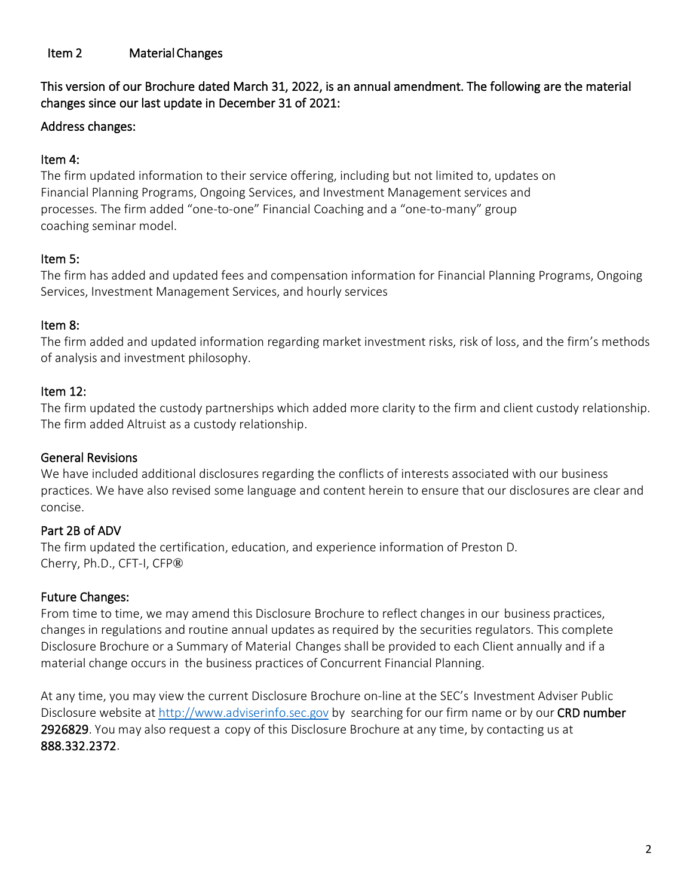#### <span id="page-1-0"></span>Item 2 Material Changes

This version of our Brochure dated March 31, 2022, is an annual amendment. The following are the material changes since our last update in December 31 of 2021:

#### Address changes:

#### Item 4:

The firm updated information to their service offering, including but not limited to, updates on Financial Planning Programs, Ongoing Services, and Investment Management services and processes. The firm added "one-to-one" Financial Coaching and a "one-to-many" group coaching seminar model.

#### Item 5:

The firm has added and updated fees and compensation information for Financial Planning Programs, Ongoing Services, Investment Management Services, and hourly services

#### Item 8:

The firm added and updated information regarding market investment risks, risk of loss, and the firm's methods of analysis and investment philosophy.

#### Item 12:

The firm updated the custody partnerships which added more clarity to the firm and client custody relationship. The firm added Altruist as a custody relationship.

#### General Revisions

We have included additional disclosures regarding the conflicts of interests associated with our business practices. We have also revised some language and content herein to ensure that our disclosures are clear and concise.

## Part 2B of ADV

The firm updated the certification, education, and experience information of Preston D. Cherry, Ph.D., CFT-I, CFP**®**

#### Future Changes:

From time to time, we may amend this Disclosure Brochure to reflect changes in our business practices, changes in regulations and routine annual updates as required by the securities regulators. This complete Disclosure Brochure or a Summary of Material Changes shall be provided to each Client annually and if a material change occurs in the business practices of Concurrent Financial Planning.

At any time, you may view the current Disclosure Brochure on-line at the SEC's Investment Adviser Public Disclosure website at [http://www.adviserinfo.sec.gov](http://www.adviserinfo.sec.gov/) by searching for our firm name or by our CRD number 2926829. You may also request a copy of this Disclosure Brochure at any time, by contacting us at 888.332.2372.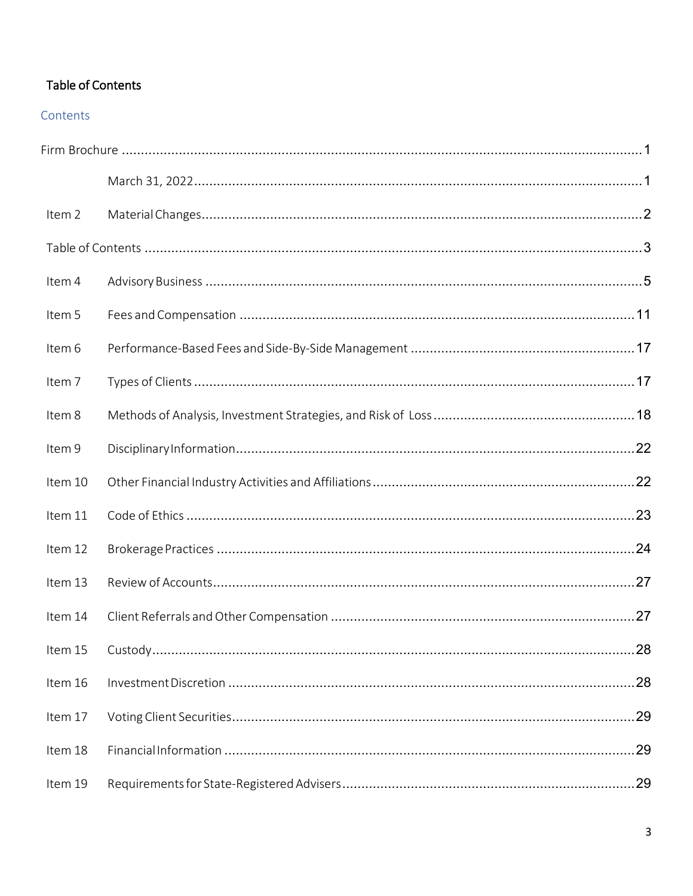# <span id="page-2-0"></span>Table of Contents

#### Contents

| Item 2  |  |    |  |  |
|---------|--|----|--|--|
|         |  |    |  |  |
| Item 4  |  |    |  |  |
| Item 5  |  |    |  |  |
| Item 6  |  |    |  |  |
| Item 7  |  |    |  |  |
| Item 8  |  |    |  |  |
| Item 9  |  |    |  |  |
| Item 10 |  |    |  |  |
| Item 11 |  |    |  |  |
| Item 12 |  |    |  |  |
| Item 13 |  |    |  |  |
| Item 14 |  |    |  |  |
|         |  |    |  |  |
| Item 16 |  |    |  |  |
| Item 17 |  | 29 |  |  |
| Item 18 |  |    |  |  |
| Item 19 |  |    |  |  |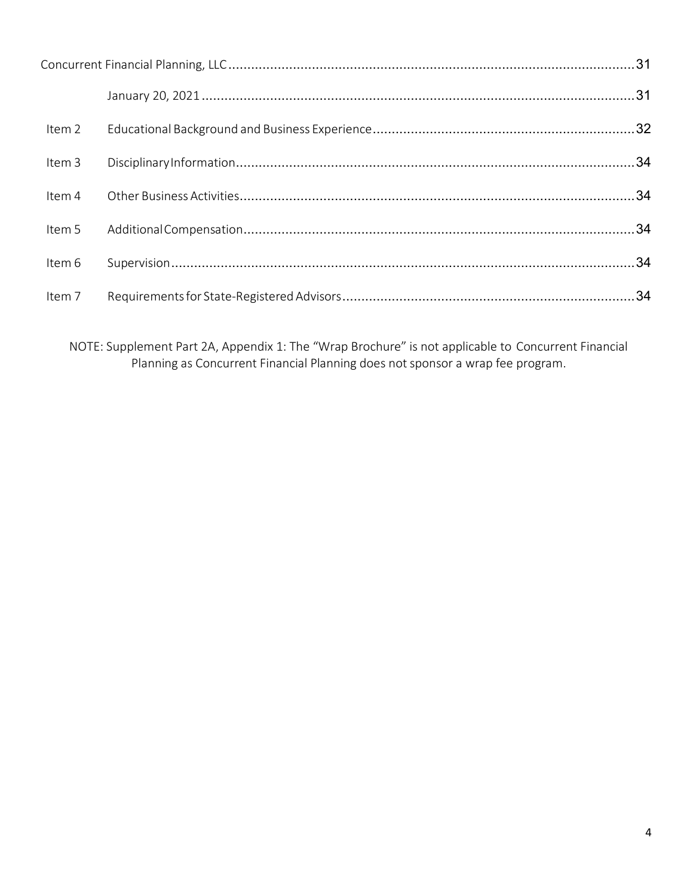| Item 2 |  |
|--------|--|
| Item 3 |  |
| Item 4 |  |
| Item 5 |  |
| Item 6 |  |
| Item 7 |  |

NOTE: Supplement Part 2A, Appendix 1: The "Wrap Brochure" is not applicable to Concurrent Financial Planning as Concurrent Financial Planning does not sponsor a wrap fee program.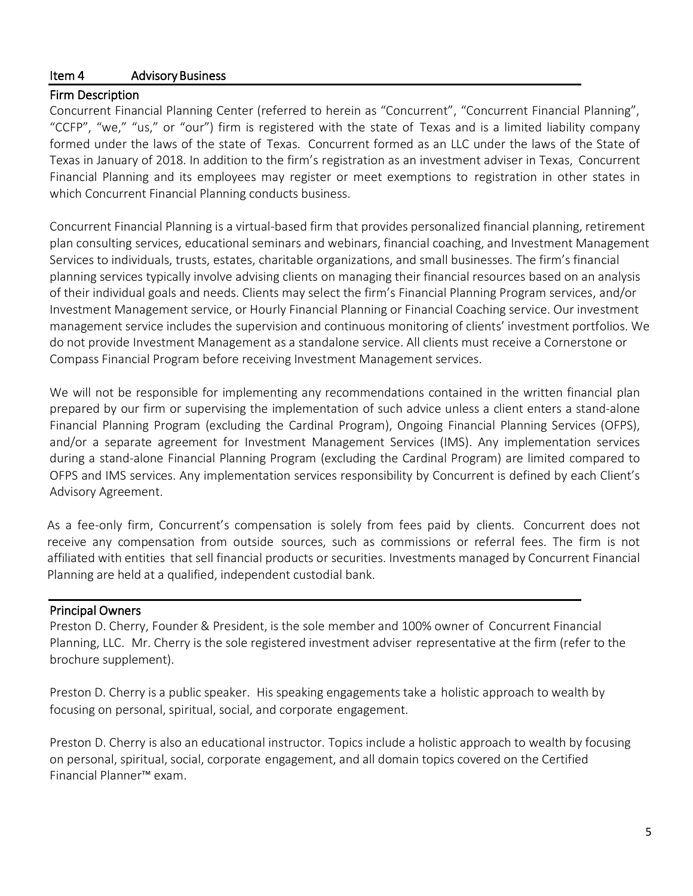### <span id="page-4-0"></span>Item 4 Advisory Business

#### Firm Description

Concurrent Financial Planning Center (referred to herein as "Concurrent", "Concurrent Financial Planning", "CCFP", "we," "us," or "our") firm is registered with the state of Texas and is a limited liability company formed under the laws of the state of Texas. Concurrent formed as an LLC under the laws of the State of Texas in January of 2018. In addition to the firm's registration as an investment adviser in Texas, Concurrent Financial Planning and its employees may register or meet exemptions to registration in other states in which Concurrent Financial Planning conducts business.

Concurrent Financial Planning is a virtual-based firm that provides personalized financial planning, retirement plan consulting services, educational seminars and webinars, financial coaching, and Investment Management Services to individuals, trusts, estates, charitable organizations, and small businesses. The firm's financial planning services typically involve advising clients on managing their financial resources based on an analysis of their individual goals and needs. Clients may select the firm's Financial Planning Program services, and/or Investment Management service, or Hourly Financial Planning or Financial Coaching service. Our investment management service includes the supervision and continuous monitoring of clients' investment portfolios. We do not provide Investment Management as a standalone service. All clients must receive a Cornerstone or Compass Financial Program before receiving Investment Management services.

We will not be responsible for implementing any recommendations contained in the written financial plan prepared by our firm or supervising the implementation of such advice unless a client enters a stand-alone Financial Planning Program (excluding the Cardinal Program), Ongoing Financial Planning Services (OFPS), and/or a separate agreement for Investment Management Services (IMS). Any implementation services during a stand-alone Financial Planning Program (excluding the Cardinal Program) are limited compared to OFPS and IMS services. Any implementation services responsibility by Concurrent is defined by each Client's Advisory Agreement.

As a fee-only firm, Concurrent's compensation is solely from fees paid by clients. Concurrent does not receive any compensation from outside sources, such as commissions or referral fees. The firm is not affiliated with entities that sell financial products or securities. Investments managed by Concurrent Financial Planning are held at a qualified, independent custodial bank.

#### Principal Owners

Preston D. Cherry, Founder & President, is the sole member and 100% owner of Concurrent Financial Planning, LLC. Mr. Cherry is the sole registered investment adviser representative at the firm (refer to the brochure supplement).

Preston D. Cherry is a public speaker. His speaking engagements take a holistic approach to wealth by focusing on personal, spiritual, social, and corporate engagement.

Preston D. Cherry is also an educational instructor. Topics include a holistic approach to wealth by focusing on personal, spiritual, social, corporate engagement, and all domain topics covered on the Certified Financial Planner™ exam.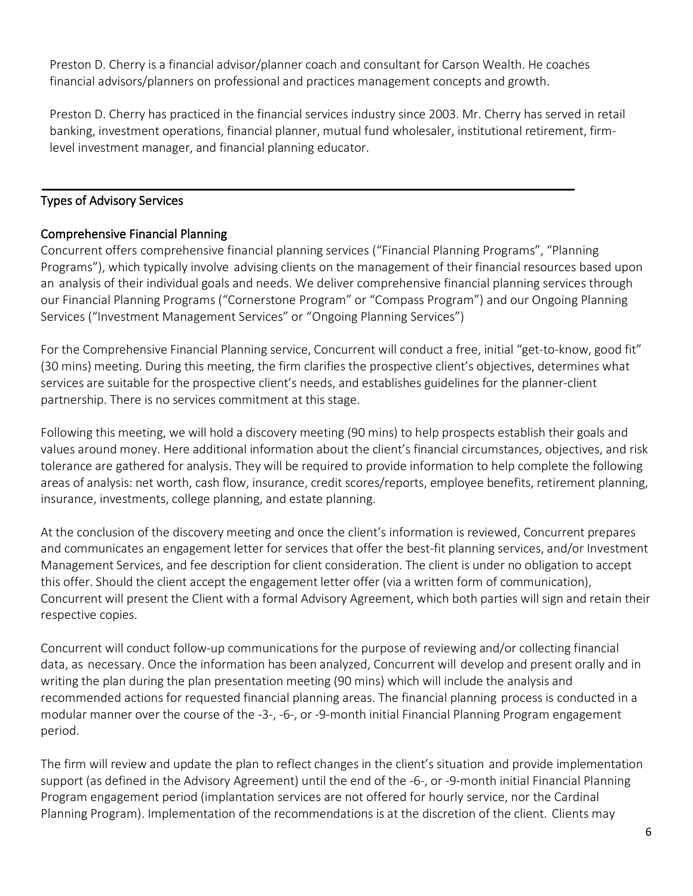Preston D. Cherry is a financial advisor/planner coach and consultant for Carson Wealth. He coaches financial advisors/planners on professional and practices management concepts and growth.

Preston D. Cherry has practiced in the financial services industry since 2003. Mr. Cherry has served in retail banking, investment operations, financial planner, mutual fund wholesaler, institutional retirement, firmlevel investment manager, and financial planning educator.

### Types of Advisory Services

## Comprehensive Financial Planning

Concurrent offers comprehensive financial planning services ("Financial Planning Programs", "Planning Programs"), which typically involve advising clients on the management of their financial resources based upon an analysis of their individual goals and needs. We deliver comprehensive financial planning services through our Financial Planning Programs ("Cornerstone Program" or "Compass Program") and our Ongoing Planning Services ("Investment Management Services" or "Ongoing Planning Services")

For the Comprehensive Financial Planning service, Concurrent will conduct a free, initial "get-to-know, good fit" (30 mins) meeting. During this meeting, the firm clarifies the prospective client's objectives, determines what services are suitable for the prospective client's needs, and establishes guidelines for the planner-client partnership. There is no services commitment at this stage.

Following this meeting, we will hold a discovery meeting (90 mins) to help prospects establish their goals and values around money. Here additional information about the client's financial circumstances, objectives, and risk tolerance are gathered for analysis. They will be required to provide information to help complete the following areas of analysis: net worth, cash flow, insurance, credit scores/reports, employee benefits, retirement planning, insurance, investments, college planning, and estate planning.

At the conclusion of the discovery meeting and once the client's information is reviewed, Concurrent prepares and communicates an engagement letter for services that offer the best-fit planning services, and/or Investment Management Services, and fee description for client consideration. The client is under no obligation to accept this offer. Should the client accept the engagement letter offer (via a written form of communication), Concurrent will present the Client with a formal Advisory Agreement, which both parties will sign and retain their respective copies.

Concurrent will conduct follow-up communications for the purpose of reviewing and/or collecting financial data, as necessary. Once the information has been analyzed, Concurrent will develop and present orally and in writing the plan during the plan presentation meeting (90 mins) which will include the analysis and recommended actions for requested financial planning areas. The financial planning process is conducted in a modular manner over the course of the -3-, -6-, or -9-month initial Financial Planning Program engagement period.

The firm will review and update the plan to reflect changes in the client's situation and provide implementation support (as defined in the Advisory Agreement) until the end of the -6-, or -9-month initial Financial Planning Program engagement period (implantation services are not offered for hourly service, nor the Cardinal Planning Program). Implementation of the recommendations is at the discretion of the client. Clients may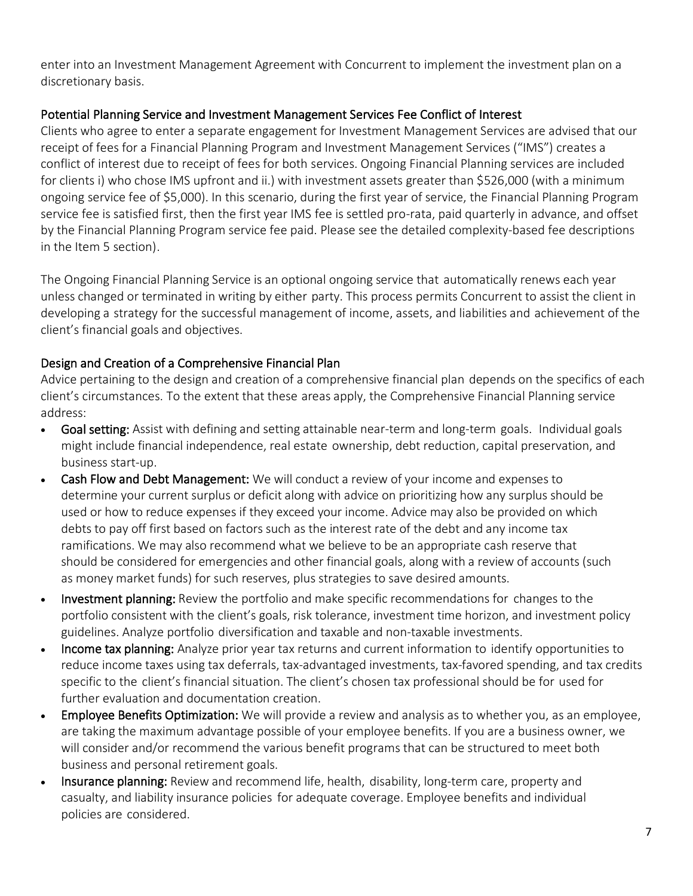enter into an Investment Management Agreement with Concurrent to implement the investment plan on a discretionary basis.

#### Potential Planning Service and Investment Management Services Fee Conflict of Interest

Clients who agree to enter a separate engagement for Investment Management Services are advised that our receipt of fees for a Financial Planning Program and Investment Management Services ("IMS") creates a conflict of interest due to receipt of fees for both services. Ongoing Financial Planning services are included for clients i) who chose IMS upfront and ii.) with investment assets greater than \$526,000 (with a minimum ongoing service fee of \$5,000). In this scenario, during the first year of service, the Financial Planning Program service fee is satisfied first, then the first year IMS fee is settled pro-rata, paid quarterly in advance, and offset by the Financial Planning Program service fee paid. Please see the detailed complexity-based fee descriptions in the Item 5 section).

The Ongoing Financial Planning Service is an optional ongoing service that automatically renews each year unless changed or terminated in writing by either party. This process permits Concurrent to assist the client in developing a strategy for the successful management of income, assets, and liabilities and achievement of the client's financial goals and objectives.

## Design and Creation of a Comprehensive Financial Plan

Advice pertaining to the design and creation of a comprehensive financial plan depends on the specifics of each client's circumstances. To the extent that these areas apply, the Comprehensive Financial Planning service address:

- Goal setting: Assist with defining and setting attainable near-term and long-term goals. Individual goals might include financial independence, real estate ownership, debt reduction, capital preservation, and business start-up.
- Cash Flow and Debt Management: We will conduct a review of your income and expenses to determine your current surplus or deficit along with advice on prioritizing how any surplus should be used or how to reduce expenses if they exceed your income. Advice may also be provided on which debts to pay off first based on factors such as the interest rate of the debt and any income tax ramifications. We may also recommend what we believe to be an appropriate cash reserve that should be considered for emergencies and other financial goals, along with a review of accounts (such as money market funds) for such reserves, plus strategies to save desired amounts.
- Investment planning: Review the portfolio and make specific recommendations for changes to the portfolio consistent with the client's goals, risk tolerance, investment time horizon, and investment policy guidelines. Analyze portfolio diversification and taxable and non-taxable investments.
- Income tax planning: Analyze prior year tax returns and current information to identify opportunities to reduce income taxes using tax deferrals, tax-advantaged investments, tax-favored spending, and tax credits specific to the client's financial situation. The client's chosen tax professional should be for used for further evaluation and documentation creation.
- Employee Benefits Optimization: We will provide a review and analysis as to whether you, as an employee, are taking the maximum advantage possible of your employee benefits. If you are a business owner, we will consider and/or recommend the various benefit programs that can be structured to meet both business and personal retirement goals.
- Insurance planning: Review and recommend life, health, disability, long-term care, property and casualty, and liability insurance policies for adequate coverage. Employee benefits and individual policies are considered.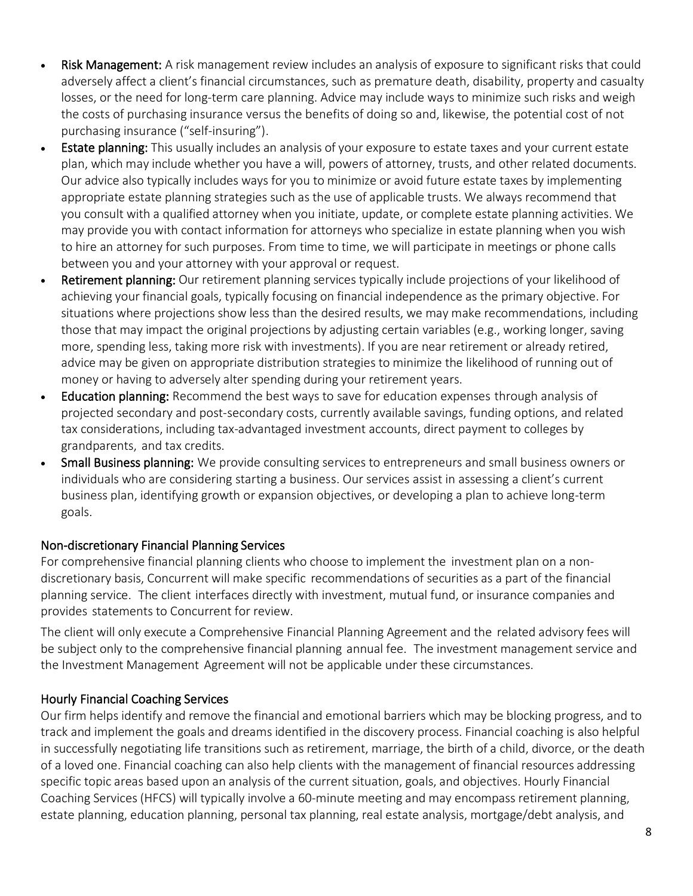- Risk Management: A risk management review includes an analysis of exposure to significant risks that could adversely affect a client's financial circumstances, such as premature death, disability, property and casualty losses, or the need for long-term care planning. Advice may include ways to minimize such risks and weigh the costs of purchasing insurance versus the benefits of doing so and, likewise, the potential cost of not purchasing insurance ("self-insuring").
- Estate planning: This usually includes an analysis of your exposure to estate taxes and your current estate plan, which may include whether you have a will, powers of attorney, trusts, and other related documents. Our advice also typically includes ways for you to minimize or avoid future estate taxes by implementing appropriate estate planning strategies such as the use of applicable trusts. We always recommend that you consult with a qualified attorney when you initiate, update, or complete estate planning activities. We may provide you with contact information for attorneys who specialize in estate planning when you wish to hire an attorney for such purposes. From time to time, we will participate in meetings or phone calls between you and your attorney with your approval or request.
- Retirement planning: Our retirement planning services typically include projections of your likelihood of achieving your financial goals, typically focusing on financial independence as the primary objective. For situations where projections show less than the desired results, we may make recommendations, including those that may impact the original projections by adjusting certain variables (e.g., working longer, saving more, spending less, taking more risk with investments). If you are near retirement or already retired, advice may be given on appropriate distribution strategies to minimize the likelihood of running out of money or having to adversely alter spending during your retirement years.
- **Education planning:** Recommend the best ways to save for education expenses through analysis of projected secondary and post-secondary costs, currently available savings, funding options, and related tax considerations, including tax-advantaged investment accounts, direct payment to colleges by grandparents, and tax credits.
- Small Business planning: We provide consulting services to entrepreneurs and small business owners or individuals who are considering starting a business. Our services assist in assessing a client's current business plan, identifying growth or expansion objectives, or developing a plan to achieve long-term goals.

#### Non-discretionary Financial Planning Services

For comprehensive financial planning clients who choose to implement the investment plan on a nondiscretionary basis, Concurrent will make specific recommendations of securities as a part of the financial planning service. The client interfaces directly with investment, mutual fund, or insurance companies and provides statements to Concurrent for review.

The client will only execute a Comprehensive Financial Planning Agreement and the related advisory fees will be subject only to the comprehensive financial planning annual fee. The investment management service and the Investment Management Agreement will not be applicable under these circumstances.

## Hourly Financial Coaching Services

Our firm helps identify and remove the financial and emotional barriers which may be blocking progress, and to track and implement the goals and dreams identified in the discovery process. Financial coaching is also helpful in successfully negotiating life transitions such as retirement, marriage, the birth of a child, divorce, or the death of a loved one. Financial coaching can also help clients with the management of financial resources addressing specific topic areas based upon an analysis of the current situation, goals, and objectives. Hourly Financial Coaching Services(HFCS) will typically involve a 60-minute meeting and may encompass retirement planning, estate planning, education planning, personal tax planning, real estate analysis, mortgage/debt analysis, and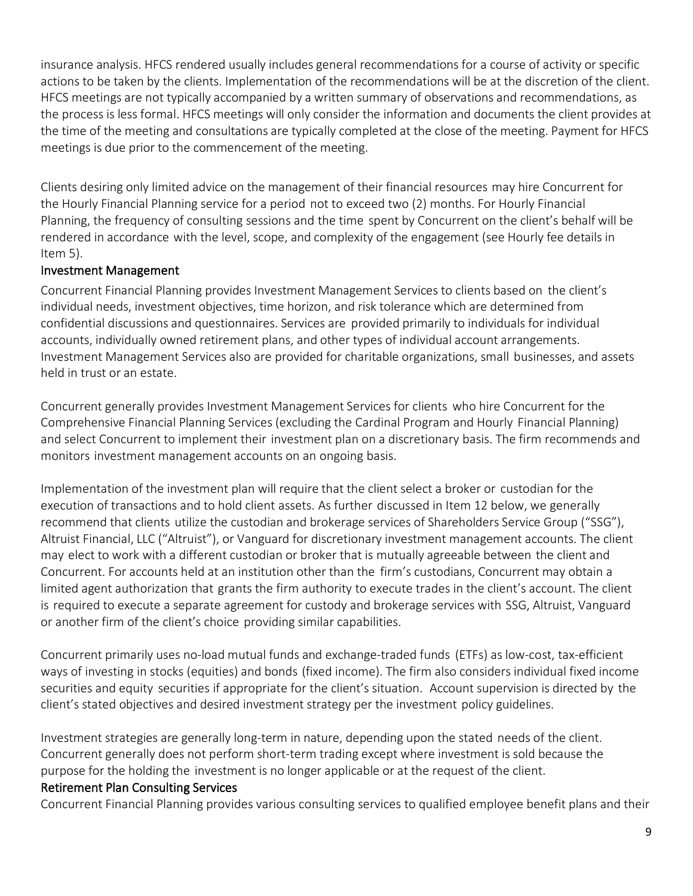insurance analysis. HFCS rendered usually includes general recommendations for a course of activity or specific actions to be taken by the clients. Implementation of the recommendations will be at the discretion of the client. HFCS meetings are not typically accompanied by a written summary of observations and recommendations, as the process is less formal. HFCS meetings will only consider the information and documents the client provides at the time of the meeting and consultations are typically completed at the close of the meeting. Payment for HFCS meetings is due prior to the commencement of the meeting.

Clients desiring only limited advice on the management of their financial resources may hire Concurrent for the Hourly Financial Planning service for a period not to exceed two (2) months. For Hourly Financial Planning, the frequency of consulting sessions and the time spent by Concurrent on the client's behalf will be rendered in accordance with the level, scope, and complexity of the engagement (see Hourly fee details in Item 5).

## Investment Management

Concurrent Financial Planning provides Investment Management Services to clients based on the client's individual needs, investment objectives, time horizon, and risk tolerance which are determined from confidential discussions and questionnaires. Services are provided primarily to individuals for individual accounts, individually owned retirement plans, and other types of individual account arrangements. Investment Management Services also are provided for charitable organizations, small businesses, and assets held in trust or an estate.

Concurrent generally provides Investment Management Services for clients who hire Concurrent for the Comprehensive Financial Planning Services (excluding the Cardinal Program and Hourly Financial Planning) and select Concurrent to implement their investment plan on a discretionary basis. The firm recommends and monitors investment management accounts on an ongoing basis.

Implementation of the investment plan will require that the client select a broker or custodian for the execution of transactions and to hold client assets. As further discussed in Item 12 below, we generally recommend that clients utilize the custodian and brokerage services of Shareholders Service Group ("SSG"), Altruist Financial, LLC ("Altruist"), or Vanguard for discretionary investment management accounts. The client may elect to work with a different custodian or broker that is mutually agreeable between the client and Concurrent. For accounts held at an institution other than the firm's custodians, Concurrent may obtain a limited agent authorization that grants the firm authority to execute trades in the client's account. The client is required to execute a separate agreement for custody and brokerage services with SSG, Altruist, Vanguard or another firm of the client's choice providing similar capabilities.

Concurrent primarily uses no-load mutual funds and exchange-traded funds (ETFs) as low-cost, tax-efficient ways of investing in stocks (equities) and bonds (fixed income). The firm also considers individual fixed income securities and equity securities if appropriate for the client's situation. Account supervision is directed by the client's stated objectives and desired investment strategy per the investment policy guidelines.

Investment strategies are generally long-term in nature, depending upon the stated needs of the client. Concurrent generally does not perform short-term trading except where investment is sold because the purpose for the holding the investment is no longer applicable or at the request of the client.

#### Retirement Plan Consulting Services

Concurrent Financial Planning provides various consulting services to qualified employee benefit plans and their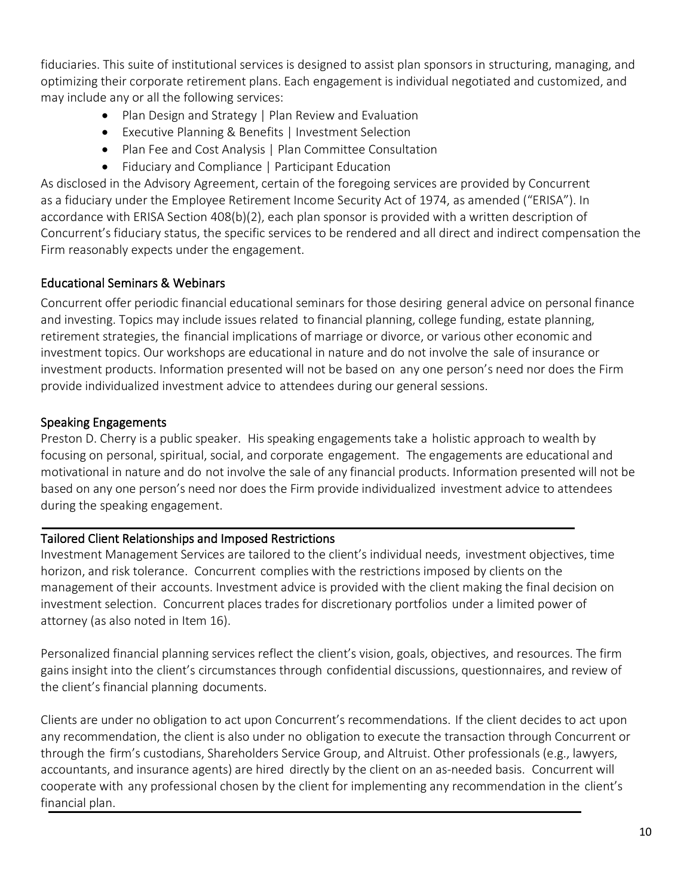fiduciaries. This suite of institutional services is designed to assist plan sponsors in structuring, managing, and optimizing their corporate retirement plans. Each engagement is individual negotiated and customized, and may include any or all the following services:

- Plan Design and Strategy | Plan Review and Evaluation
- Executive Planning & Benefits | Investment Selection
- Plan Fee and Cost Analysis | Plan Committee Consultation
- Fiduciary and Compliance | Participant Education

As disclosed in the Advisory Agreement, certain of the foregoing services are provided by Concurrent as a fiduciary under the Employee Retirement Income Security Act of 1974, as amended ("ERISA"). In accordance with ERISA Section 408(b)(2), each plan sponsor is provided with a written description of Concurrent's fiduciary status, the specific services to be rendered and all direct and indirect compensation the Firm reasonably expects under the engagement.

#### Educational Seminars & Webinars

Concurrent offer periodic financial educational seminars for those desiring general advice on personal finance and investing. Topics may include issues related to financial planning, college funding, estate planning, retirement strategies, the financial implications of marriage or divorce, or various other economic and investment topics. Our workshops are educational in nature and do not involve the sale of insurance or investment products. Information presented will not be based on any one person's need nor does the Firm provide individualized investment advice to attendees during our general sessions.

#### Speaking Engagements

Preston D. Cherry is a public speaker. His speaking engagements take a holistic approach to wealth by focusing on personal, spiritual, social, and corporate engagement. The engagements are educational and motivational in nature and do not involve the sale of any financial products. Information presented will not be based on any one person's need nor does the Firm provide individualized investment advice to attendees during the speaking engagement.

#### Tailored Client Relationships and Imposed Restrictions

Investment Management Services are tailored to the client's individual needs, investment objectives, time horizon, and risk tolerance. Concurrent complies with the restrictions imposed by clients on the management of their accounts. Investment advice is provided with the client making the final decision on investment selection. Concurrent places trades for discretionary portfolios under a limited power of attorney (as also noted in Item 16).

Personalized financial planning services reflect the client's vision, goals, objectives, and resources. The firm gains insight into the client's circumstances through confidential discussions, questionnaires, and review of the client's financial planning documents.

Clients are under no obligation to act upon Concurrent's recommendations. If the client decides to act upon any recommendation, the client is also under no obligation to execute the transaction through Concurrent or through the firm's custodians, Shareholders Service Group, and Altruist. Other professionals (e.g., lawyers, accountants, and insurance agents) are hired directly by the client on an as-needed basis. Concurrent will cooperate with any professional chosen by the client for implementing any recommendation in the client's financial plan.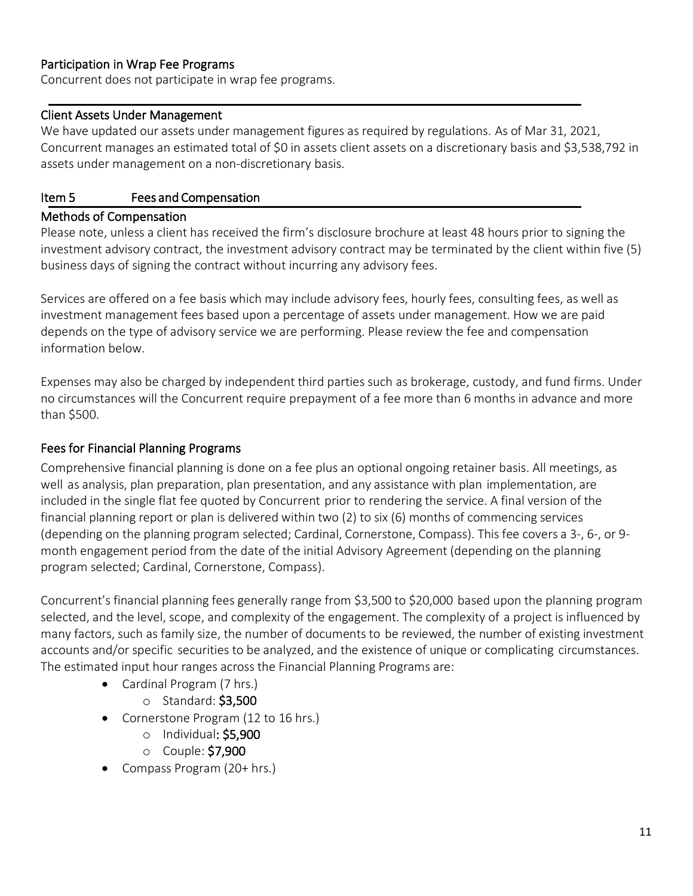#### Participation in Wrap Fee Programs

Concurrent does not participate in wrap fee programs.

#### Client Assets Under Management

We have updated our assets under management figures as required by regulations. As of Mar 31, 2021, Concurrent manages an estimated total of \$0 in assets client assets on a discretionary basis and \$3,538,792 in assets under management on a non-discretionary basis.

#### <span id="page-10-0"></span>Item 5 Fees and Compensation

#### Methods of Compensation

Please note, unless a client has received the firm's disclosure brochure at least 48 hours prior to signing the investment advisory contract, the investment advisory contract may be terminated by the client within five (5) business days of signing the contract without incurring any advisory fees.

Services are offered on a fee basis which may include advisory fees, hourly fees, consulting fees, as well as investment management fees based upon a percentage of assets under management. How we are paid depends on the type of advisory service we are performing. Please review the fee and compensation information below.

Expenses may also be charged by independent third parties such as brokerage, custody, and fund firms. Under no circumstances will the Concurrent require prepayment of a fee more than 6 months in advance and more than \$500.

#### Fees for Financial Planning Programs

Comprehensive financial planning is done on a fee plus an optional ongoing retainer basis. All meetings, as well as analysis, plan preparation, plan presentation, and any assistance with plan implementation, are included in the single flat fee quoted by Concurrent prior to rendering the service. A final version of the financial planning report or plan is delivered within two (2) to six (6) months of commencing services (depending on the planning program selected; Cardinal, Cornerstone, Compass). This fee covers a 3-, 6-, or 9 month engagement period from the date of the initial Advisory Agreement (depending on the planning program selected; Cardinal, Cornerstone, Compass).

Concurrent's financial planning fees generally range from \$3,500 to \$20,000 based upon the planning program selected, and the level, scope, and complexity of the engagement. The complexity of a project is influenced by many factors, such as family size, the number of documents to be reviewed, the number of existing investment accounts and/or specific securities to be analyzed, and the existence of unique or complicating circumstances. The estimated input hour ranges across the Financial Planning Programs are:

- Cardinal Program (7 hrs.)
	- o Standard: \$3,500
- Cornerstone Program (12 to 16 hrs.)
	- o Individual: \$5,900
	- o Couple: \$7,900
- Compass Program (20+ hrs.)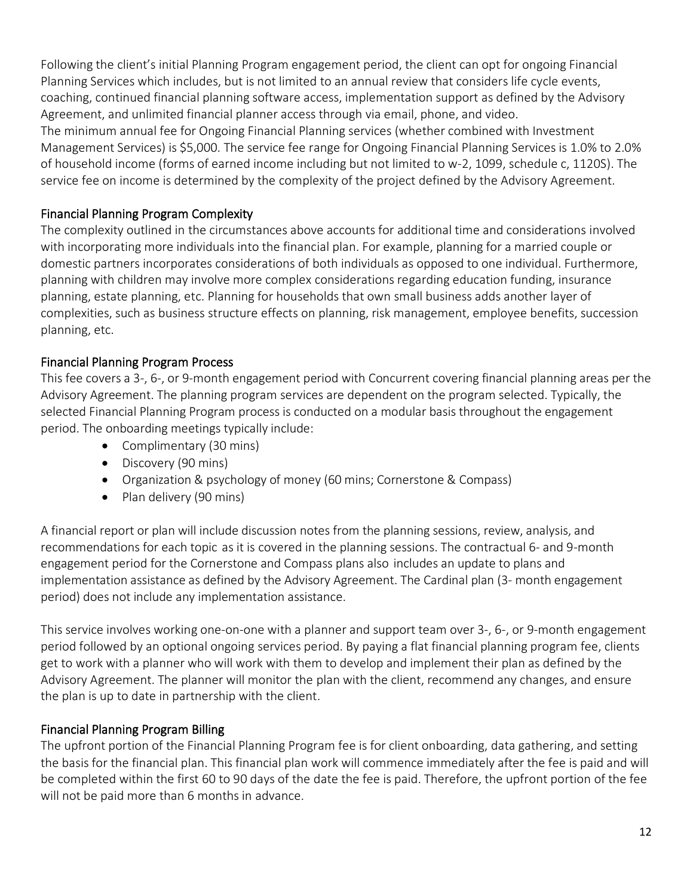Following the client's initial Planning Program engagement period, the client can opt for ongoing Financial Planning Services which includes, but is not limited to an annual review that considers life cycle events, coaching, continued financial planning software access, implementation support as defined by the Advisory Agreement, and unlimited financial planner access through via email, phone, and video.

The minimum annual fee for Ongoing Financial Planning services (whether combined with Investment Management Services) is \$5,000. The service fee range for Ongoing Financial Planning Services is 1.0% to 2.0% of household income (forms of earned income including but not limited to w-2, 1099, schedule c, 1120S). The service fee on income is determined by the complexity of the project defined by the Advisory Agreement.

# Financial Planning Program Complexity

The complexity outlined in the circumstances above accounts for additional time and considerations involved with incorporating more individuals into the financial plan. For example, planning for a married couple or domestic partners incorporates considerations of both individuals as opposed to one individual. Furthermore, planning with children may involve more complex considerations regarding education funding, insurance planning, estate planning, etc. Planning for households that own small business adds another layer of complexities, such as business structure effects on planning, risk management, employee benefits, succession planning, etc.

# Financial Planning Program Process

This fee covers a 3-, 6-, or 9-month engagement period with Concurrent covering financial planning areas per the Advisory Agreement. The planning program services are dependent on the program selected. Typically, the selected Financial Planning Program process is conducted on a modular basis throughout the engagement period. The onboarding meetings typically include:

- Complimentary (30 mins)
- Discovery (90 mins)
- Organization & psychology of money (60 mins; Cornerstone & Compass)
- Plan delivery (90 mins)

A financial report or plan will include discussion notes from the planning sessions, review, analysis, and recommendations for each topic as it is covered in the planning sessions. The contractual 6- and 9-month engagement period for the Cornerstone and Compass plans also includes an update to plans and implementation assistance as defined by the Advisory Agreement. The Cardinal plan (3- month engagement period) does not include any implementation assistance.

This service involves working one-on-one with a planner and support team over 3-, 6-, or 9-month engagement period followed by an optional ongoing services period. By paying a flat financial planning program fee, clients get to work with a planner who will work with them to develop and implement their plan as defined by the Advisory Agreement. The planner will monitor the plan with the client, recommend any changes, and ensure the plan is up to date in partnership with the client.

## Financial Planning Program Billing

The upfront portion of the Financial Planning Program fee is for client onboarding, data gathering, and setting the basis for the financial plan. This financial plan work will commence immediately after the fee is paid and will be completed within the first 60 to 90 days of the date the fee is paid. Therefore, the upfront portion of the fee will not be paid more than 6 months in advance.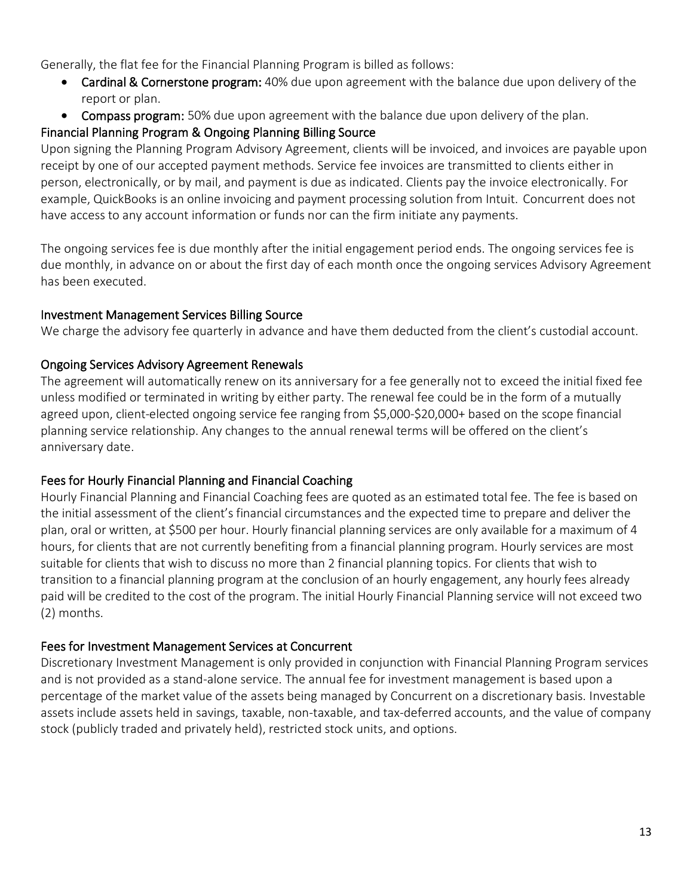Generally, the flat fee for the Financial Planning Program is billed as follows:

- Cardinal & Cornerstone program: 40% due upon agreement with the balance due upon delivery of the report or plan.
- Compass program: 50% due upon agreement with the balance due upon delivery of the plan.

# Financial Planning Program & Ongoing Planning Billing Source

Upon signing the Planning Program Advisory Agreement, clients will be invoiced, and invoices are payable upon receipt by one of our accepted payment methods. Service fee invoices are transmitted to clients either in person, electronically, or by mail, and payment is due as indicated. Clients pay the invoice electronically. For example, QuickBooks is an online invoicing and payment processing solution from Intuit. Concurrent does not have access to any account information or funds nor can the firm initiate any payments.

The ongoing services fee is due monthly after the initial engagement period ends. The ongoing services fee is due monthly, in advance on or about the first day of each month once the ongoing services Advisory Agreement has been executed.

## Investment Management Services Billing Source

We charge the advisory fee quarterly in advance and have them deducted from the client's custodial account.

# Ongoing Services Advisory Agreement Renewals

The agreement will automatically renew on its anniversary for a fee generally not to exceed the initial fixed fee unless modified or terminated in writing by either party. The renewal fee could be in the form of a mutually agreed upon, client-elected ongoing service fee ranging from \$5,000-\$20,000+ based on the scope financial planning service relationship. Any changes to the annual renewal terms will be offered on the client's anniversary date.

# Fees for Hourly Financial Planning and Financial Coaching

Hourly Financial Planning and Financial Coaching fees are quoted as an estimated total fee. The fee is based on the initial assessment of the client's financial circumstances and the expected time to prepare and deliver the plan, oral or written, at \$500 per hour. Hourly financial planning services are only available for a maximum of 4 hours, for clients that are not currently benefiting from a financial planning program. Hourly services are most suitable for clients that wish to discuss no more than 2 financial planning topics. For clients that wish to transition to a financial planning program at the conclusion of an hourly engagement, any hourly fees already paid will be credited to the cost of the program. The initial Hourly Financial Planning service will not exceed two (2) months.

## Fees for Investment Management Services at Concurrent

Discretionary Investment Management is only provided in conjunction with Financial Planning Program services and is not provided as a stand-alone service. The annual fee for investment management is based upon a percentage of the market value of the assets being managed by Concurrent on a discretionary basis. Investable assets include assets held in savings, taxable, non-taxable, and tax-deferred accounts, and the value of company stock (publicly traded and privately held), restricted stock units, and options.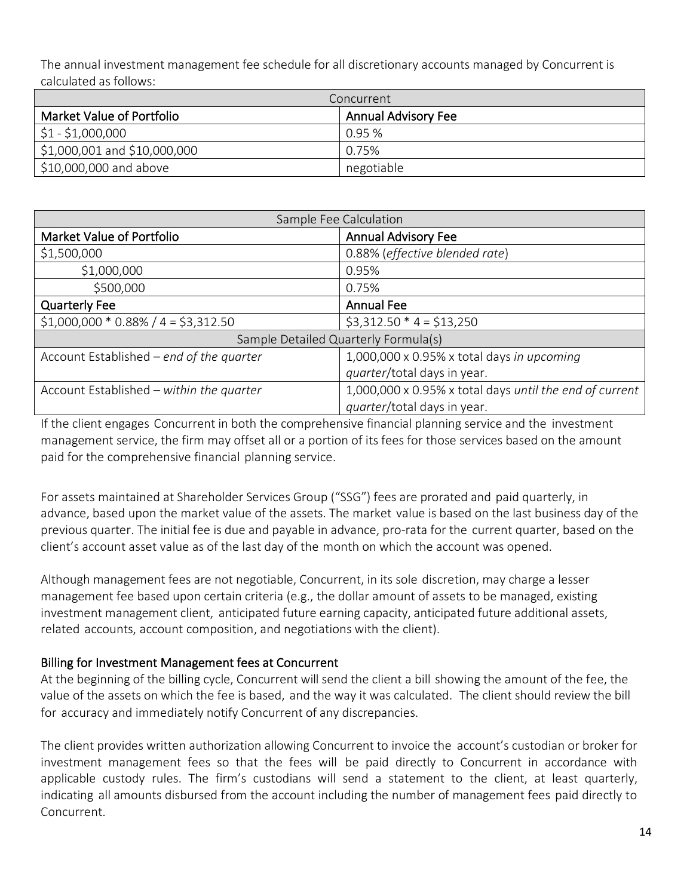The annual investment management fee schedule for all discretionary accounts managed by Concurrent is calculated as follows:

| Concurrent                   |                            |  |
|------------------------------|----------------------------|--|
| Market Value of Portfolio    | <b>Annual Advisory Fee</b> |  |
| $$1 - $1,000,000$            | 0.95%                      |  |
| \$1,000,001 and \$10,000,000 | 0.75%                      |  |
| \$10,000,000 and above       | negotiable                 |  |

| Sample Fee Calculation                   |                                                         |  |  |  |
|------------------------------------------|---------------------------------------------------------|--|--|--|
| <b>Market Value of Portfolio</b>         | <b>Annual Advisory Fee</b>                              |  |  |  |
| \$1,500,000                              | 0.88% (effective blended rate)                          |  |  |  |
| \$1,000,000                              | 0.95%                                                   |  |  |  |
| \$500,000                                | 0.75%                                                   |  |  |  |
| <b>Quarterly Fee</b>                     | <b>Annual Fee</b>                                       |  |  |  |
| $$1,000,000 * 0.88% / 4 = $3,312.50$     | $$3,312.50 * 4 = $13,250$                               |  |  |  |
| Sample Detailed Quarterly Formula(s)     |                                                         |  |  |  |
| Account Established - end of the quarter | 1,000,000 x 0.95% x total days in upcoming              |  |  |  |
|                                          | quarter/total days in year.                             |  |  |  |
| Account Established - within the quarter | 1,000,000 x 0.95% x total days until the end of current |  |  |  |
|                                          | quarter/total days in year.                             |  |  |  |

If the client engages Concurrent in both the comprehensive financial planning service and the investment management service, the firm may offset all or a portion of its fees for those services based on the amount paid for the comprehensive financial planning service.

For assets maintained at Shareholder Services Group ("SSG") fees are prorated and paid quarterly, in advance, based upon the market value of the assets. The market value is based on the last business day of the previous quarter. The initial fee is due and payable in advance, pro-rata for the current quarter, based on the client's account asset value as of the last day of the month on which the account was opened.

Although management fees are not negotiable, Concurrent, in its sole discretion, may charge a lesser management fee based upon certain criteria (e.g., the dollar amount of assets to be managed, existing investment management client, anticipated future earning capacity, anticipated future additional assets, related accounts, account composition, and negotiations with the client).

#### Billing for Investment Management fees at Concurrent

At the beginning of the billing cycle, Concurrent will send the client a bill showing the amount of the fee, the value of the assets on which the fee is based, and the way it was calculated. The client should review the bill for accuracy and immediately notify Concurrent of any discrepancies.

The client provides written authorization allowing Concurrent to invoice the account's custodian or broker for investment management fees so that the fees will be paid directly to Concurrent in accordance with applicable custody rules. The firm's custodians will send a statement to the client, at least quarterly, indicating all amounts disbursed from the account including the number of management fees paid directly to Concurrent.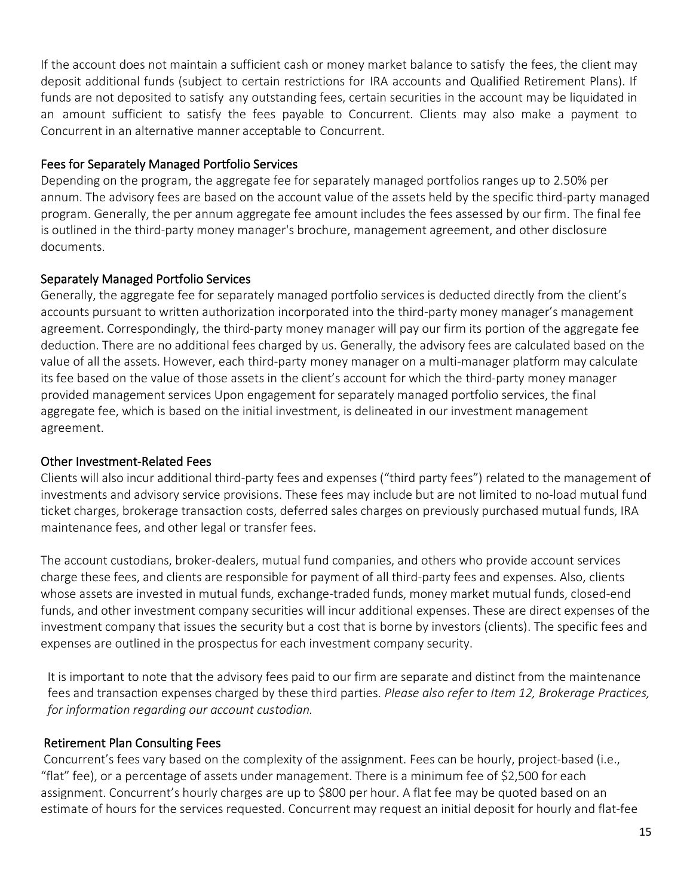If the account does not maintain a sufficient cash or money market balance to satisfy the fees, the client may deposit additional funds (subject to certain restrictions for IRA accounts and Qualified Retirement Plans). If funds are not deposited to satisfy any outstanding fees, certain securities in the account may be liquidated in an amount sufficient to satisfy the fees payable to Concurrent. Clients may also make a payment to Concurrent in an alternative manner acceptable to Concurrent.

### Fees for Separately Managed Portfolio Services

Depending on the program, the aggregate fee for separately managed portfolios ranges up to 2.50% per annum. The advisory fees are based on the account value of the assets held by the specific third-party managed program. Generally, the per annum aggregate fee amount includes the fees assessed by our firm. The final fee is outlined in the third-party money manager's brochure, management agreement, and other disclosure documents.

#### Separately Managed Portfolio Services

Generally, the aggregate fee for separately managed portfolio services is deducted directly from the client's accounts pursuant to written authorization incorporated into the third-party money manager's management agreement. Correspondingly, the third-party money manager will pay our firm its portion of the aggregate fee deduction. There are no additional fees charged by us. Generally, the advisory fees are calculated based on the value of all the assets. However, each third-party money manager on a multi-manager platform may calculate its fee based on the value of those assets in the client's account for which the third-party money manager provided management services Upon engagement for separately managed portfolio services, the final aggregate fee, which is based on the initial investment, is delineated in our investment management agreement.

## Other Investment-Related Fees

Clients will also incur additional third-party fees and expenses ("third party fees") related to the management of investments and advisory service provisions. These fees may include but are not limited to no-load mutual fund ticket charges, brokerage transaction costs, deferred sales charges on previously purchased mutual funds, IRA maintenance fees, and other legal or transfer fees.

The account custodians, broker-dealers, mutual fund companies, and others who provide account services charge these fees, and clients are responsible for payment of all third-party fees and expenses. Also, clients whose assets are invested in mutual funds, exchange-traded funds, money market mutual funds, closed-end funds, and other investment company securities will incur additional expenses. These are direct expenses of the investment company that issues the security but a cost that is borne by investors (clients). The specific fees and expenses are outlined in the prospectus for each investment company security.

It is important to note that the advisory fees paid to our firm are separate and distinct from the maintenance fees and transaction expenses charged by these third parties. *Please also refer to Item 12, Brokerage Practices, for information regarding our account custodian.*

## Retirement Plan Consulting Fees

Concurrent's fees vary based on the complexity of the assignment. Fees can be hourly, project-based (i.e., "flat" fee), or a percentage of assets under management. There is a minimum fee of \$2,500 for each assignment. Concurrent's hourly charges are up to \$800 per hour. A flat fee may be quoted based on an estimate of hours for the services requested. Concurrent may request an initial deposit for hourly and flat-fee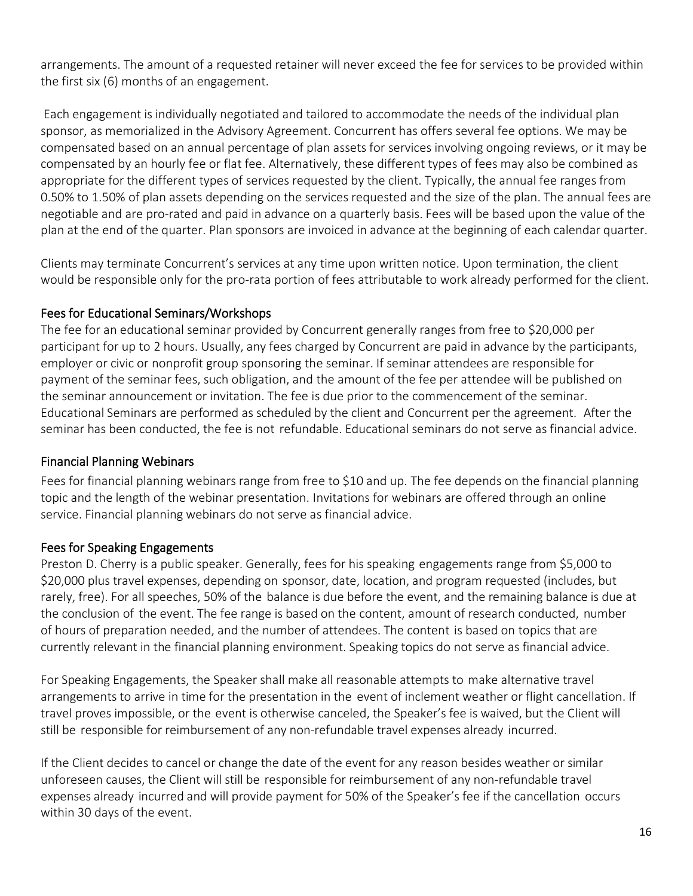arrangements. The amount of a requested retainer will never exceed the fee for services to be provided within the first six (6) months of an engagement.

Each engagement is individually negotiated and tailored to accommodate the needs of the individual plan sponsor, as memorialized in the Advisory Agreement. Concurrent has offers several fee options. We may be compensated based on an annual percentage of plan assets for services involving ongoing reviews, or it may be compensated by an hourly fee or flat fee. Alternatively, these different types of fees may also be combined as appropriate for the different types of services requested by the client. Typically, the annual fee ranges from 0.50% to 1.50% of plan assets depending on the services requested and the size of the plan. The annual fees are negotiable and are pro-rated and paid in advance on a quarterly basis. Fees will be based upon the value of the plan at the end of the quarter. Plan sponsors are invoiced in advance at the beginning of each calendar quarter.

Clients may terminate Concurrent's services at any time upon written notice. Upon termination, the client would be responsible only for the pro-rata portion of fees attributable to work already performed for the client.

## Fees for Educational Seminars/Workshops

The fee for an educational seminar provided by Concurrent generally ranges from free to \$20,000 per participant for up to 2 hours. Usually, any fees charged by Concurrent are paid in advance by the participants, employer or civic or nonprofit group sponsoring the seminar. If seminar attendees are responsible for payment of the seminar fees, such obligation, and the amount of the fee per attendee will be published on the seminar announcement or invitation. The fee is due prior to the commencement of the seminar. Educational Seminars are performed as scheduled by the client and Concurrent per the agreement. After the seminar has been conducted, the fee is not refundable. Educational seminars do not serve as financial advice.

## Financial Planning Webinars

Fees for financial planning webinars range from free to \$10 and up. The fee depends on the financial planning topic and the length of the webinar presentation. Invitations for webinars are offered through an online service. Financial planning webinars do not serve as financial advice.

#### Fees for Speaking Engagements

Preston D. Cherry is a public speaker. Generally, fees for his speaking engagements range from \$5,000 to \$20,000 plus travel expenses, depending on sponsor, date, location, and program requested (includes, but rarely, free). For all speeches, 50% of the balance is due before the event, and the remaining balance is due at the conclusion of the event. The fee range is based on the content, amount of research conducted, number of hours of preparation needed, and the number of attendees. The content is based on topics that are currently relevant in the financial planning environment. Speaking topics do not serve as financial advice.

For Speaking Engagements, the Speaker shall make all reasonable attempts to make alternative travel arrangements to arrive in time for the presentation in the event of inclement weather or flight cancellation. If travel proves impossible, or the event is otherwise canceled, the Speaker's fee is waived, but the Client will still be responsible for reimbursement of any non-refundable travel expenses already incurred.

If the Client decides to cancel or change the date of the event for any reason besides weather or similar unforeseen causes, the Client will still be responsible for reimbursement of any non-refundable travel expenses already incurred and will provide payment for 50% of the Speaker's fee if the cancellation occurs within 30 days of the event.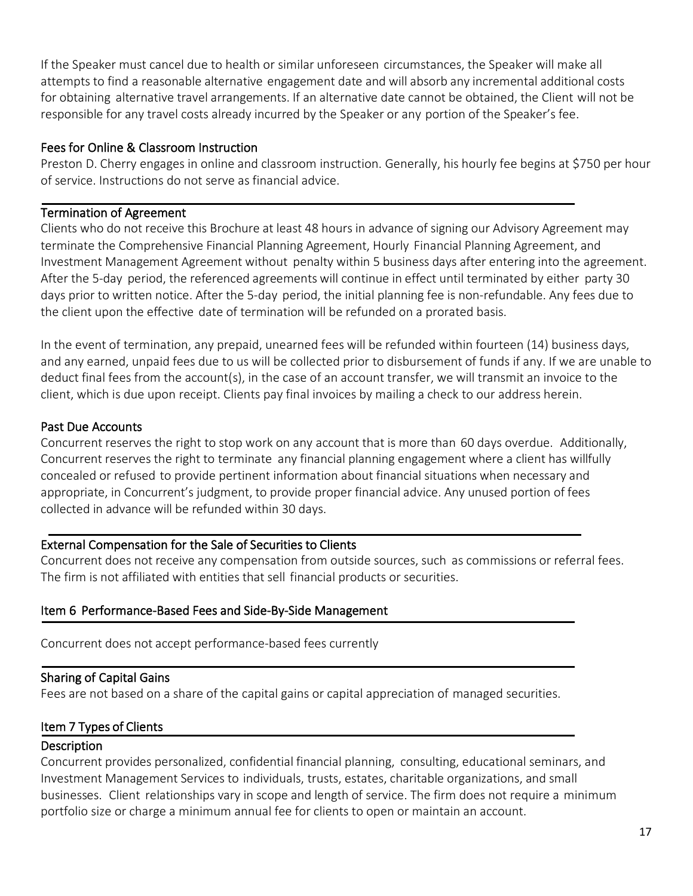If the Speaker must cancel due to health or similar unforeseen circumstances, the Speaker will make all attempts to find a reasonable alternative engagement date and will absorb any incremental additional costs for obtaining alternative travel arrangements. If an alternative date cannot be obtained, the Client will not be responsible for any travel costs already incurred by the Speaker or any portion of the Speaker's fee.

#### Fees for Online & Classroom Instruction

Preston D. Cherry engages in online and classroom instruction. Generally, his hourly fee begins at \$750 per hour of service. Instructions do not serve as financial advice.

#### Termination of Agreement

Clients who do not receive this Brochure at least 48 hours in advance of signing our Advisory Agreement may terminate the Comprehensive Financial Planning Agreement, Hourly Financial Planning Agreement, and Investment Management Agreement without penalty within 5 business days after entering into the agreement. After the 5-day period, the referenced agreements will continue in effect until terminated by either party 30 days prior to written notice. After the 5-day period, the initial planning fee is non-refundable. Any fees due to the client upon the effective date of termination will be refunded on a prorated basis.

In the event of termination, any prepaid, unearned fees will be refunded within fourteen (14) business days, and any earned, unpaid fees due to us will be collected prior to disbursement of funds if any. If we are unable to deduct final fees from the account(s), in the case of an account transfer, we will transmit an invoice to the client, which is due upon receipt. Clients pay final invoices by mailing a check to our address herein.

#### Past Due Accounts

Concurrent reserves the right to stop work on any account that is more than 60 days overdue. Additionally, Concurrent reserves the right to terminate any financial planning engagement where a client has willfully concealed or refused to provide pertinent information about financial situations when necessary and appropriate, in Concurrent's judgment, to provide proper financial advice. Any unused portion of fees collected in advance will be refunded within 30 days.

#### External Compensation for the Sale of Securities to Clients

<span id="page-16-0"></span>Concurrent does not receive any compensation from outside sources, such as commissions or referral fees. The firm is not affiliated with entities that sell financial products or securities.

## Item 6 Performance-Based Fees and Side-By-Side Management

Concurrent does not accept performance-based fees currently

## Sharing of Capital Gains

Fees are not based on a share of the capital gains or capital appreciation of managed securities.

## <span id="page-16-1"></span>Item 7 Types of Clients

#### **Description**

Concurrent provides personalized, confidential financial planning, consulting, educational seminars, and Investment Management Services to individuals, trusts, estates, charitable organizations, and small businesses. Client relationships vary in scope and length of service. The firm does not require a minimum portfolio size or charge a minimum annual fee for clients to open or maintain an account.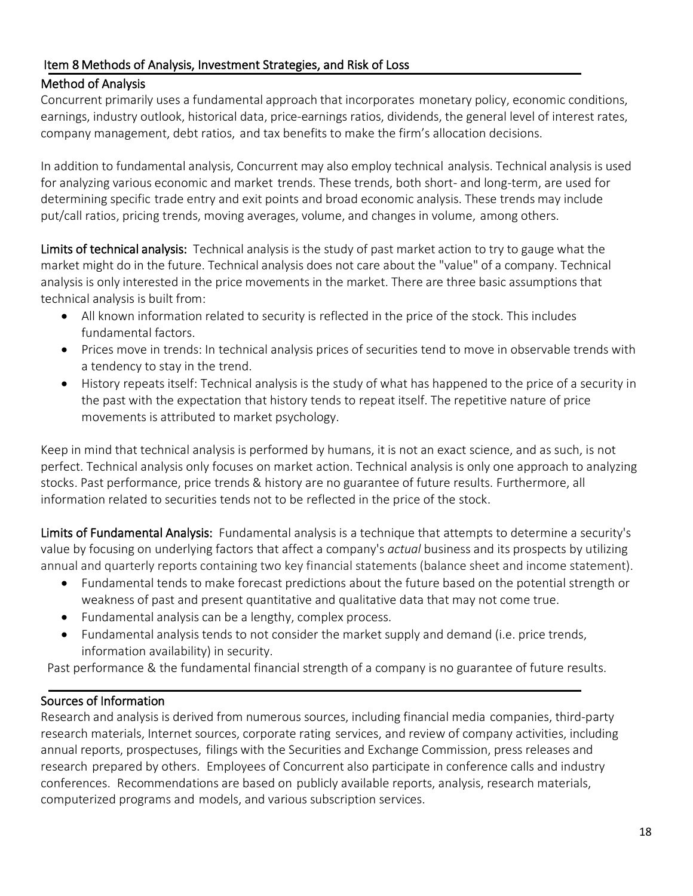# <span id="page-17-0"></span>Item 8 Methods of Analysis, Investment Strategies, and Risk of Loss

## Method of Analysis

Concurrent primarily uses a fundamental approach that incorporates monetary policy, economic conditions, earnings, industry outlook, historical data, price-earnings ratios, dividends, the general level of interest rates, company management, debt ratios, and tax benefits to make the firm's allocation decisions.

In addition to fundamental analysis, Concurrent may also employ technical analysis. Technical analysis is used for analyzing various economic and market trends. These trends, both short- and long-term, are used for determining specific trade entry and exit points and broad economic analysis. These trends may include put/call ratios, pricing trends, moving averages, volume, and changes in volume, among others.

Limits of technical analysis: Technical analysis is the study of past market action to try to gauge what the market might do in the future. Technical analysis does not care about the "value" of a company. Technical analysis is only interested in the price movements in the market. There are three basic assumptions that technical analysis is built from:

- All known information related to security is reflected in the price of the stock. This includes fundamental factors.
- Prices move in trends: In technical analysis prices of securities tend to move in observable trends with a tendency to stay in the trend.
- History repeats itself: Technical analysis is the study of what has happened to the price of a security in the past with the expectation that history tends to repeat itself. The repetitive nature of price movements is attributed to market psychology.

Keep in mind that technical analysis is performed by humans, it is not an exact science, and as such, is not perfect. Technical analysis only focuses on market action. Technical analysis is only one approach to analyzing stocks. Past performance, price trends & history are no guarantee of future results. Furthermore, all information related to securities tends not to be reflected in the price of the stock.

Limits of Fundamental Analysis: Fundamental analysis is a technique that attempts to determine a security's value by focusing on underlying factors that affect a company's *actual* business and its prospects by utilizing annual and quarterly reports containing two key financial statements (balance sheet and income statement).

- Fundamental tends to make forecast predictions about the future based on the potential strength or weakness of past and present quantitative and qualitative data that may not come true.
- Fundamental analysis can be a lengthy, complex process.
- Fundamental analysis tends to not consider the market supply and demand (i.e. price trends, information availability) in security.

Past performance & the fundamental financial strength of a company is no guarantee of future results.

## Sources of Information

Research and analysis is derived from numerous sources, including financial media companies, third-party research materials, Internet sources, corporate rating services, and review of company activities, including annual reports, prospectuses, filings with the Securities and Exchange Commission, press releases and research prepared by others. Employees of Concurrent also participate in conference calls and industry conferences. Recommendations are based on publicly available reports, analysis, research materials, computerized programs and models, and various subscription services.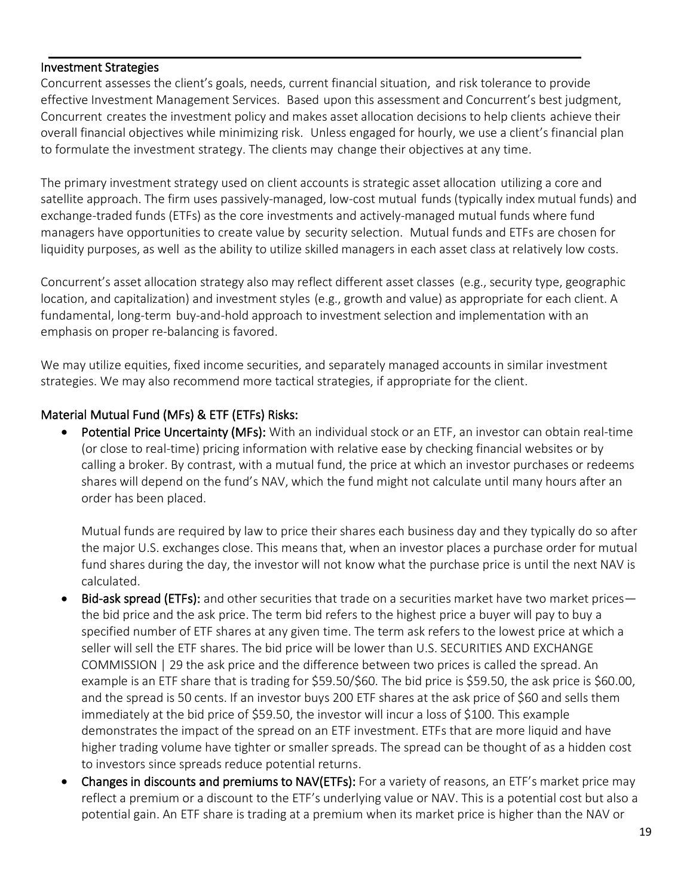#### Investment Strategies

Concurrent assesses the client's goals, needs, current financial situation, and risk tolerance to provide effective Investment Management Services. Based upon this assessment and Concurrent's best judgment, Concurrent creates the investment policy and makes asset allocation decisions to help clients achieve their overall financial objectives while minimizing risk. Unless engaged for hourly, we use a client's financial plan to formulate the investment strategy. The clients may change their objectives at any time.

The primary investment strategy used on client accounts is strategic asset allocation utilizing a core and satellite approach. The firm uses passively-managed, low-cost mutual funds (typically index mutual funds) and exchange-traded funds (ETFs) as the core investments and actively-managed mutual funds where fund managers have opportunities to create value by security selection. Mutual funds and ETFs are chosen for liquidity purposes, as well as the ability to utilize skilled managers in each asset class at relatively low costs.

Concurrent's asset allocation strategy also may reflect different asset classes (e.g., security type, geographic location, and capitalization) and investment styles (e.g., growth and value) as appropriate for each client. A fundamental, long-term buy-and-hold approach to investment selection and implementation with an emphasis on proper re-balancing is favored.

We may utilize equities, fixed income securities, and separately managed accounts in similar investment strategies. We may also recommend more tactical strategies, if appropriate for the client.

#### Material Mutual Fund (MFs) & ETF (ETFs) Risks:

Potential Price Uncertainty (MFs): With an individual stock or an ETF, an investor can obtain real-time (or close to real-time) pricing information with relative ease by checking financial websites or by calling a broker. By contrast, with a mutual fund, the price at which an investor purchases or redeems shares will depend on the fund's NAV, which the fund might not calculate until many hours after an order has been placed.

Mutual funds are required by law to price their shares each business day and they typically do so after the major U.S. exchanges close. This means that, when an investor places a purchase order for mutual fund shares during the day, the investor will not know what the purchase price is until the next NAV is calculated.

- Bid-ask spread (ETFs): and other securities that trade on a securities market have two market prices the bid price and the ask price. The term bid refers to the highest price a buyer will pay to buy a specified number of ETF shares at any given time. The term ask refers to the lowest price at which a seller will sell the ETF shares. The bid price will be lower than U.S. SECURITIES AND EXCHANGE COMMISSION | 29 the ask price and the difference between two prices is called the spread. An example is an ETF share that is trading for \$59.50/\$60. The bid price is \$59.50, the ask price is \$60.00, and the spread is 50 cents. If an investor buys 200 ETF shares at the ask price of \$60 and sells them immediately at the bid price of \$59.50, the investor will incur a loss of \$100. This example demonstrates the impact of the spread on an ETF investment. ETFs that are more liquid and have higher trading volume have tighter or smaller spreads. The spread can be thought of as a hidden cost to investors since spreads reduce potential returns.
- Changes in discounts and premiums to NAV(ETFs): For a variety of reasons, an ETF's market price may reflect a premium or a discount to the ETF's underlying value or NAV. This is a potential cost but also a potential gain. An ETF share is trading at a premium when its market price is higher than the NAV or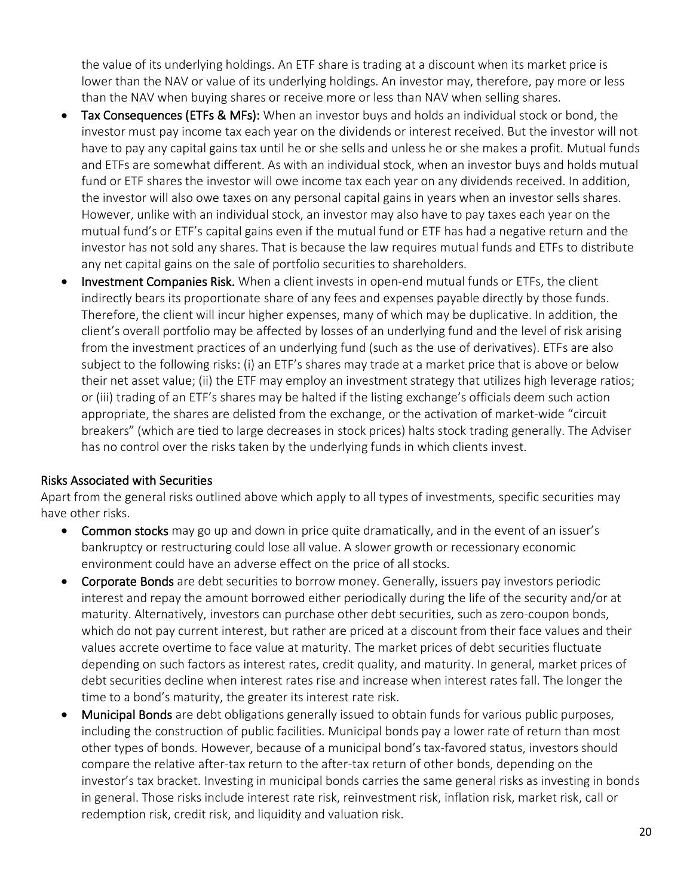the value of its underlying holdings. An ETF share is trading at a discount when its market price is lower than the NAV or value of its underlying holdings. An investor may, therefore, pay more or less than the NAV when buying shares or receive more or less than NAV when selling shares.

- Tax Consequences (ETFs & MFs): When an investor buys and holds an individual stock or bond, the investor must pay income tax each year on the dividends or interest received. But the investor will not have to pay any capital gains tax until he or she sells and unless he or she makes a profit. Mutual funds and ETFs are somewhat different. As with an individual stock, when an investor buys and holds mutual fund or ETF shares the investor will owe income tax each year on any dividends received. In addition, the investor will also owe taxes on any personal capital gains in years when an investor sells shares. However, unlike with an individual stock, an investor may also have to pay taxes each year on the mutual fund's or ETF's capital gains even if the mutual fund or ETF has had a negative return and the investor has not sold any shares. That is because the law requires mutual funds and ETFs to distribute any net capital gains on the sale of portfolio securities to shareholders.
- Investment Companies Risk. When a client invests in open-end mutual funds or ETFs, the client indirectly bears its proportionate share of any fees and expenses payable directly by those funds. Therefore, the client will incur higher expenses, many of which may be duplicative. In addition, the client's overall portfolio may be affected by losses of an underlying fund and the level of risk arising from the investment practices of an underlying fund (such as the use of derivatives). ETFs are also subject to the following risks: (i) an ETF's shares may trade at a market price that is above or below their net asset value; (ii) the ETF may employ an investment strategy that utilizes high leverage ratios; or (iii) trading of an ETF's shares may be halted if the listing exchange's officials deem such action appropriate, the shares are delisted from the exchange, or the activation of market-wide "circuit breakers" (which are tied to large decreases in stock prices) halts stock trading generally. The Adviser has no control over the risks taken by the underlying funds in which clients invest.

#### Risks Associated with Securities

Apart from the general risks outlined above which apply to all types of investments, specific securities may have other risks.

- Common stocks may go up and down in price quite dramatically, and in the event of an issuer's bankruptcy or restructuring could lose all value. A slower growth or recessionary economic environment could have an adverse effect on the price of all stocks.
- Corporate Bonds are debt securities to borrow money. Generally, issuers pay investors periodic interest and repay the amount borrowed either periodically during the life of the security and/or at maturity. Alternatively, investors can purchase other debt securities, such as zero-coupon bonds, which do not pay current interest, but rather are priced at a discount from their face values and their values accrete overtime to face value at maturity. The market prices of debt securities fluctuate depending on such factors as interest rates, credit quality, and maturity. In general, market prices of debt securities decline when interest rates rise and increase when interest rates fall. The longer the time to a bond's maturity, the greater its interest rate risk.
- Municipal Bonds are debt obligations generally issued to obtain funds for various public purposes, including the construction of public facilities. Municipal bonds pay a lower rate of return than most other types of bonds. However, because of a municipal bond's tax-favored status, investors should compare the relative after-tax return to the after-tax return of other bonds, depending on the investor's tax bracket. Investing in municipal bonds carries the same general risks as investing in bonds in general. Those risks include interest rate risk, reinvestment risk, inflation risk, market risk, call or redemption risk, credit risk, and liquidity and valuation risk.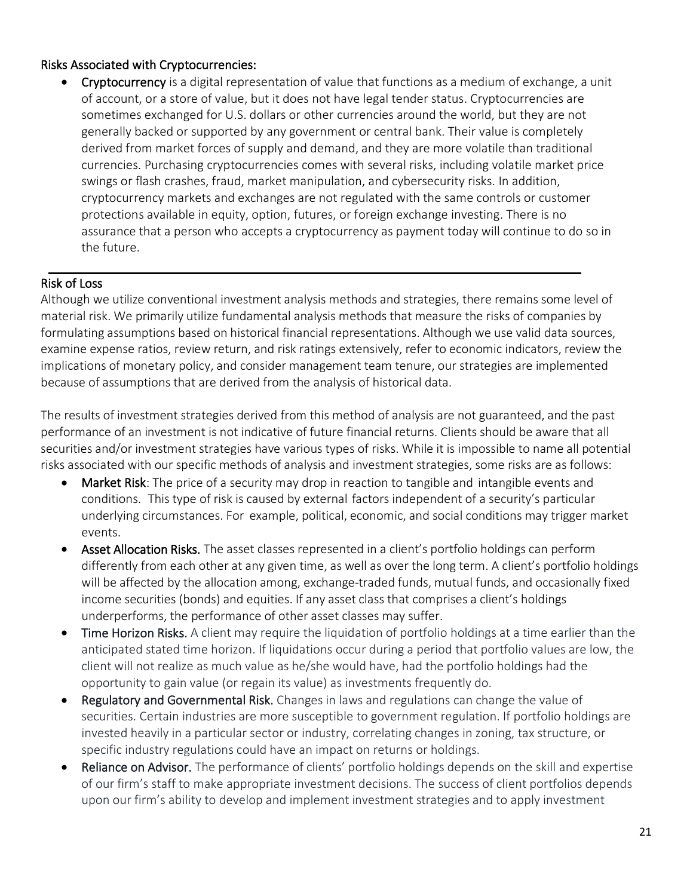#### Risks Associated with Cryptocurrencies:

• Cryptocurrency is a digital representation of value that functions as a medium of exchange, a unit of account, or a store of value, but it does not have legal tender status. Cryptocurrencies are sometimes exchanged for U.S. dollars or other currencies around the world, but they are not generally backed or supported by any government or central bank. Their value is completely derived from market forces of supply and demand, and they are more volatile than traditional currencies. Purchasing cryptocurrencies comes with several risks, including volatile market price swings or flash crashes, fraud, market manipulation, and cybersecurity risks. In addition, cryptocurrency markets and exchanges are not regulated with the same controls or customer protections available in equity, option, futures, or foreign exchange investing. There is no assurance that a person who accepts a cryptocurrency as payment today will continue to do so in the future.

#### Risk of Loss

Although we utilize conventional investment analysis methods and strategies, there remains some level of material risk. We primarily utilize fundamental analysis methods that measure the risks of companies by formulating assumptions based on historical financial representations. Although we use valid data sources, examine expense ratios, review return, and risk ratings extensively, refer to economic indicators, review the implications of monetary policy, and consider management team tenure, our strategies are implemented because of assumptions that are derived from the analysis of historical data.

The results of investment strategies derived from this method of analysis are not guaranteed, and the past performance of an investment is not indicative of future financial returns. Clients should be aware that all securities and/or investment strategies have various types of risks. While it is impossible to name all potential risks associated with our specific methods of analysis and investment strategies, some risks are as follows:

- Market Risk: The price of a security may drop in reaction to tangible and intangible events and conditions. This type of risk is caused by external factors independent of a security's particular underlying circumstances. For example, political, economic, and social conditions may trigger market events.
- Asset Allocation Risks. The asset classes represented in a client's portfolio holdings can perform differently from each other at any given time, as well as over the long term. A client's portfolio holdings will be affected by the allocation among, exchange-traded funds, mutual funds, and occasionally fixed income securities (bonds) and equities. If any asset class that comprises a client's holdings underperforms, the performance of other asset classes may suffer.
- Time Horizon Risks. A client may require the liquidation of portfolio holdings at a time earlier than the anticipated stated time horizon. If liquidations occur during a period that portfolio values are low, the client will not realize as much value as he/she would have, had the portfolio holdings had the opportunity to gain value (or regain its value) as investments frequently do.
- Regulatory and Governmental Risk. Changes in laws and regulations can change the value of securities. Certain industries are more susceptible to government regulation. If portfolio holdings are invested heavily in a particular sector or industry, correlating changes in zoning, tax structure, or specific industry regulations could have an impact on returns or holdings.
- Reliance on Advisor. The performance of clients' portfolio holdings depends on the skill and expertise of our firm's staff to make appropriate investment decisions. The success of client portfolios depends upon our firm's ability to develop and implement investment strategies and to apply investment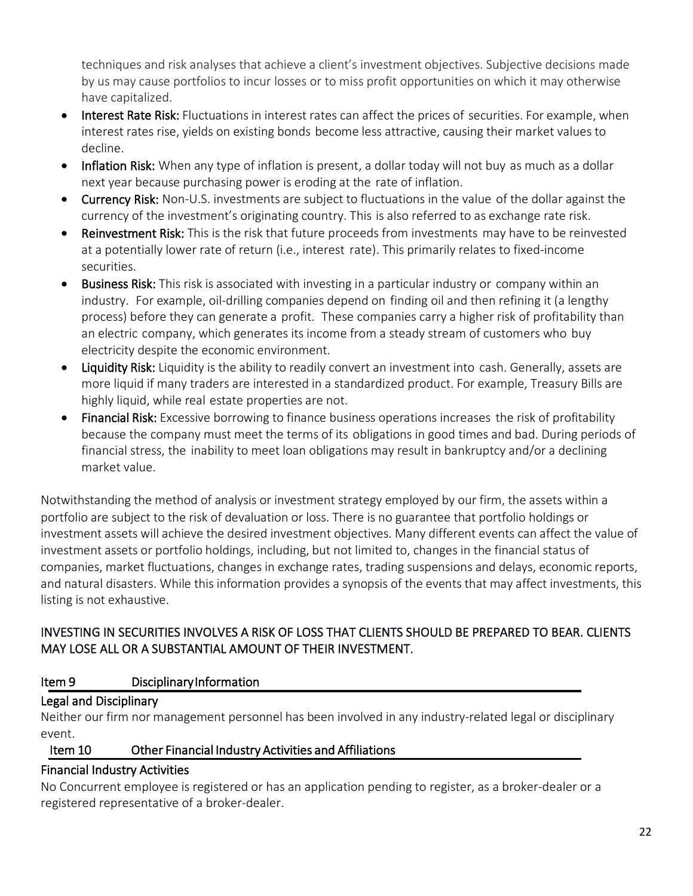techniques and risk analyses that achieve a client's investment objectives. Subjective decisions made by us may cause portfolios to incur losses or to miss profit opportunities on which it may otherwise have capitalized.

- Interest Rate Risk: Fluctuations in interest rates can affect the prices of securities. For example, when interest rates rise, yields on existing bonds become less attractive, causing their market values to decline.
- Inflation Risk: When any type of inflation is present, a dollar today will not buy as much as a dollar next year because purchasing power is eroding at the rate of inflation.
- Currency Risk: Non-U.S. investments are subject to fluctuations in the value of the dollar against the currency of the investment's originating country. This is also referred to as exchange rate risk.
- Reinvestment Risk: This is the risk that future proceeds from investments may have to be reinvested at a potentially lower rate of return (i.e., interest rate). This primarily relates to fixed-income securities.
- Business Risk: This risk is associated with investing in a particular industry or company within an industry. For example, oil-drilling companies depend on finding oil and then refining it (a lengthy process) before they can generate a profit. These companies carry a higher risk of profitability than an electric company, which generates its income from a steady stream of customers who buy electricity despite the economic environment.
- Liquidity Risk: Liquidity is the ability to readily convert an investment into cash. Generally, assets are more liquid if many traders are interested in a standardized product. For example, Treasury Bills are highly liquid, while real estate properties are not.
- Financial Risk: Excessive borrowing to finance business operations increases the risk of profitability because the company must meet the terms of its obligations in good times and bad. During periods of financial stress, the inability to meet loan obligations may result in bankruptcy and/or a declining market value.

Notwithstanding the method of analysis or investment strategy employed by our firm, the assets within a portfolio are subject to the risk of devaluation or loss. There is no guarantee that portfolio holdings or investment assets will achieve the desired investment objectives. Many different events can affect the value of investment assets or portfolio holdings, including, but not limited to, changes in the financial status of companies, market fluctuations, changes in exchange rates, trading suspensions and delays, economic reports, and natural disasters. While this information provides a synopsis of the events that may affect investments, this listing is not exhaustive.

# INVESTING IN SECURITIES INVOLVES A RISK OF LOSS THAT CLIENTS SHOULD BE PREPARED TO BEAR. CLIENTS MAY LOSE ALL OR A SUBSTANTIAL AMOUNT OF THEIR INVESTMENT.

## <span id="page-21-0"></span>Item 9 Disciplinary Information

# Legal and Disciplinary

Neither our firm nor management personnel has been involved in any industry-related legal or disciplinary event.

# <span id="page-21-1"></span>Item 10 Other Financial Industry Activities and Affiliations

## Financial Industry Activities

No Concurrent employee is registered or has an application pending to register, as a broker-dealer or a registered representative of a broker-dealer.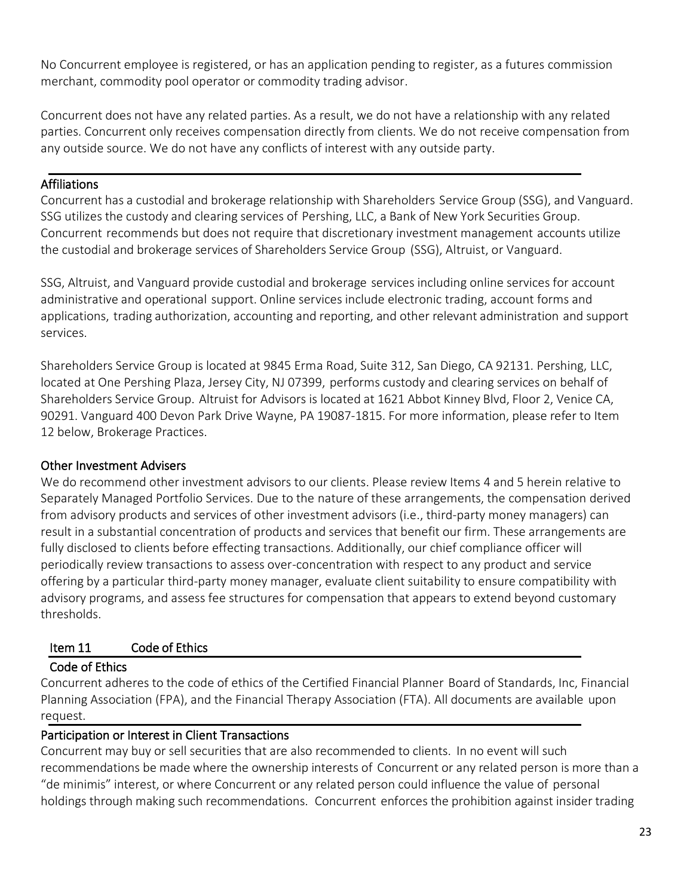No Concurrent employee is registered, or has an application pending to register, as a futures commission merchant, commodity pool operator or commodity trading advisor.

Concurrent does not have any related parties. As a result, we do not have a relationship with any related parties. Concurrent only receives compensation directly from clients. We do not receive compensation from any outside source. We do not have any conflicts of interest with any outside party.

### **Affiliations**

Concurrent has a custodial and brokerage relationship with Shareholders Service Group (SSG), and Vanguard. SSG utilizes the custody and clearing services of Pershing, LLC, a Bank of New York Securities Group. Concurrent recommends but does not require that discretionary investment management accounts utilize the custodial and brokerage services of Shareholders Service Group (SSG), Altruist, or Vanguard.

SSG, Altruist, and Vanguard provide custodial and brokerage services including online services for account administrative and operational support. Online services include electronic trading, account forms and applications, trading authorization, accounting and reporting, and other relevant administration and support services.

Shareholders Service Group is located at 9845 Erma Road, Suite 312, San Diego, CA 92131. Pershing, LLC, located at One Pershing Plaza, Jersey City, NJ 07399, performs custody and clearing services on behalf of Shareholders Service Group. Altruist for Advisors is located at 1621 Abbot Kinney Blvd, Floor 2, Venice CA, 90291. Vanguard 400 Devon Park Drive Wayne, PA 19087-1815. For more information, please refer to Item 12 below, Brokerage Practices.

## Other Investment Advisers

We do recommend other investment advisors to our clients. Please review Items 4 and 5 herein relative to Separately Managed Portfolio Services. Due to the nature of these arrangements, the compensation derived from advisory products and services of other investment advisors (i.e., third-party money managers) can result in a substantial concentration of products and services that benefit our firm. These arrangements are fully disclosed to clients before effecting transactions. Additionally, our chief compliance officer will periodically review transactions to assess over-concentration with respect to any product and service offering by a particular third-party money manager, evaluate client suitability to ensure compatibility with advisory programs, and assess fee structures for compensation that appears to extend beyond customary thresholds.

## <span id="page-22-0"></span>Item 11 Code of Ethics

## Code of Ethics

Concurrent adheres to the code of ethics of the Certified Financial Planner Board of Standards, Inc, Financial Planning Association (FPA), and the Financial Therapy Association (FTA). All documents are available upon request.

## Participation or Interest in Client Transactions

Concurrent may buy or sell securities that are also recommended to clients. In no event will such recommendations be made where the ownership interests of Concurrent or any related person is more than a "de minimis" interest, or where Concurrent or any related person could influence the value of personal holdings through making such recommendations. Concurrent enforces the prohibition against insider trading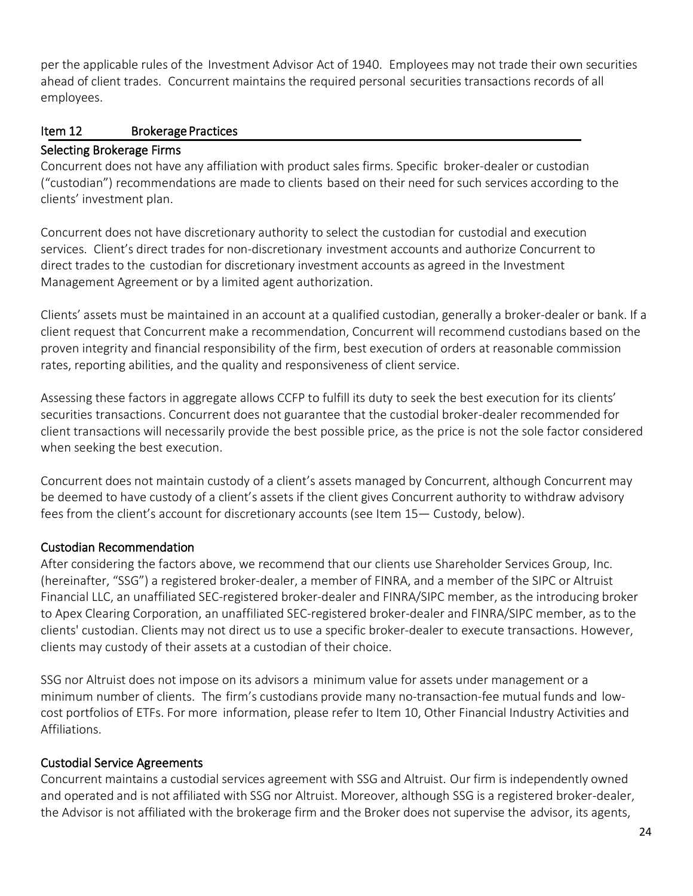per the applicable rules of the Investment Advisor Act of 1940. Employees may not trade their own securities ahead of client trades. Concurrent maintains the required personal securities transactions records of all employees.

## <span id="page-23-0"></span>Item 12 Brokerage Practices

#### Selecting Brokerage Firms

Concurrent does not have any affiliation with product sales firms. Specific broker-dealer or custodian ("custodian") recommendations are made to clients based on their need for such services according to the clients' investment plan.

Concurrent does not have discretionary authority to select the custodian for custodial and execution services. Client's direct trades for non-discretionary investment accounts and authorize Concurrent to direct trades to the custodian for discretionary investment accounts as agreed in the Investment Management Agreement or by a limited agent authorization.

Clients' assets must be maintained in an account at a qualified custodian, generally a broker-dealer or bank. If a client request that Concurrent make a recommendation, Concurrent will recommend custodians based on the proven integrity and financial responsibility of the firm, best execution of orders at reasonable commission rates, reporting abilities, and the quality and responsiveness of client service.

Assessing these factors in aggregate allows CCFP to fulfill its duty to seek the best execution for its clients' securities transactions. Concurrent does not guarantee that the custodial broker-dealer recommended for client transactions will necessarily provide the best possible price, as the price is not the sole factor considered when seeking the best execution.

Concurrent does not maintain custody of a client's assets managed by Concurrent, although Concurrent may be deemed to have custody of a client's assets if the client gives Concurrent authority to withdraw advisory fees from the client's account for discretionary accounts (see Item 15— Custody, below).

## Custodian Recommendation

After considering the factors above, we recommend that our clients use Shareholder Services Group, Inc. (hereinafter, "SSG") a registered broker-dealer, a member of FINRA, and a member of the SIPC or Altruist Financial LLC, an unaffiliated SEC-registered broker-dealer and FINRA/SIPC member, as the introducing broker to Apex Clearing Corporation, an unaffiliated SEC-registered broker-dealer and FINRA/SIPC member, as to the clients' custodian. Clients may not direct us to use a specific broker-dealer to execute transactions. However, clients may custody of their assets at a custodian of their choice.

SSG nor Altruist does not impose on its advisors a minimum value for assets under management or a minimum number of clients. The firm's custodians provide many no-transaction-fee mutual funds and lowcost portfolios of ETFs. For more information, please refer to Item 10, Other Financial Industry Activities and Affiliations.

## Custodial Service Agreements

Concurrent maintains a custodial services agreement with SSG and Altruist. Our firm is independently owned and operated and is not affiliated with SSG nor Altruist. Moreover, although SSG is a registered broker-dealer, the Advisor is not affiliated with the brokerage firm and the Broker does not supervise the advisor, its agents,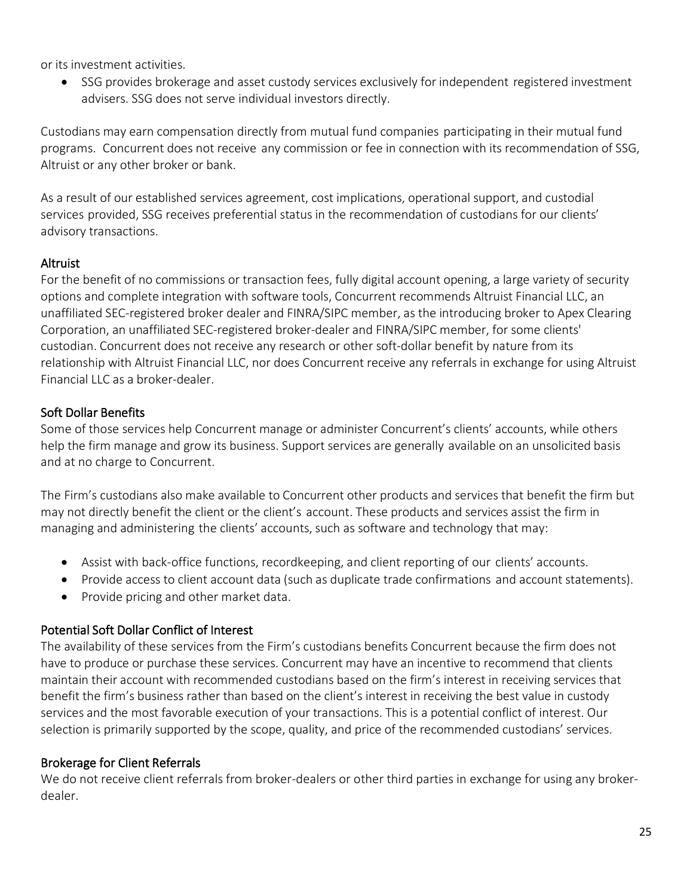or its investment activities.

• SSG provides brokerage and asset custody services exclusively for independent registered investment advisers. SSG does not serve individual investors directly.

Custodians may earn compensation directly from mutual fund companies participating in their mutual fund programs. Concurrent does not receive any commission or fee in connection with its recommendation of SSG, Altruist or any other broker or bank.

As a result of our established services agreement, cost implications, operational support, and custodial services provided, SSG receives preferential status in the recommendation of custodians for our clients' advisory transactions.

#### Altruist

For the benefit of no commissions or transaction fees, fully digital account opening, a large variety of security options and complete integration with software tools, Concurrent recommends Altruist Financial LLC, an unaffiliated SEC-registered broker dealer and FINRA/SIPC member, as the introducing broker to Apex Clearing Corporation, an unaffiliated SEC-registered broker-dealer and FINRA/SIPC member, for some clients' custodian. Concurrent does not receive any research or other soft-dollar benefit by nature from its relationship with Altruist Financial LLC, nor does Concurrent receive any referrals in exchange for using Altruist Financial LLC as a broker-dealer.

#### Soft Dollar Benefits

Some of those services help Concurrent manage or administer Concurrent's clients' accounts, while others help the firm manage and grow its business. Support services are generally available on an unsolicited basis and at no charge to Concurrent.

The Firm's custodians also make available to Concurrent other products and services that benefit the firm but may not directly benefit the client or the client's account. These products and services assist the firm in managing and administering the clients' accounts, such as software and technology that may:

- Assist with back-office functions, recordkeeping, and client reporting of our clients' accounts.
- Provide access to client account data (such as duplicate trade confirmations and account statements).
- Provide pricing and other market data.

## Potential Soft Dollar Conflict of Interest

The availability of these services from the Firm's custodians benefits Concurrent because the firm does not have to produce or purchase these services. Concurrent may have an incentive to recommend that clients maintain their account with recommended custodians based on the firm's interest in receiving services that benefit the firm's business rather than based on the client's interest in receiving the best value in custody services and the most favorable execution of your transactions. This is a potential conflict of interest. Our selection is primarily supported by the scope, quality, and price of the recommended custodians' services.

## Brokerage for Client Referrals

We do not receive client referrals from broker-dealers or other third parties in exchange for using any brokerdealer.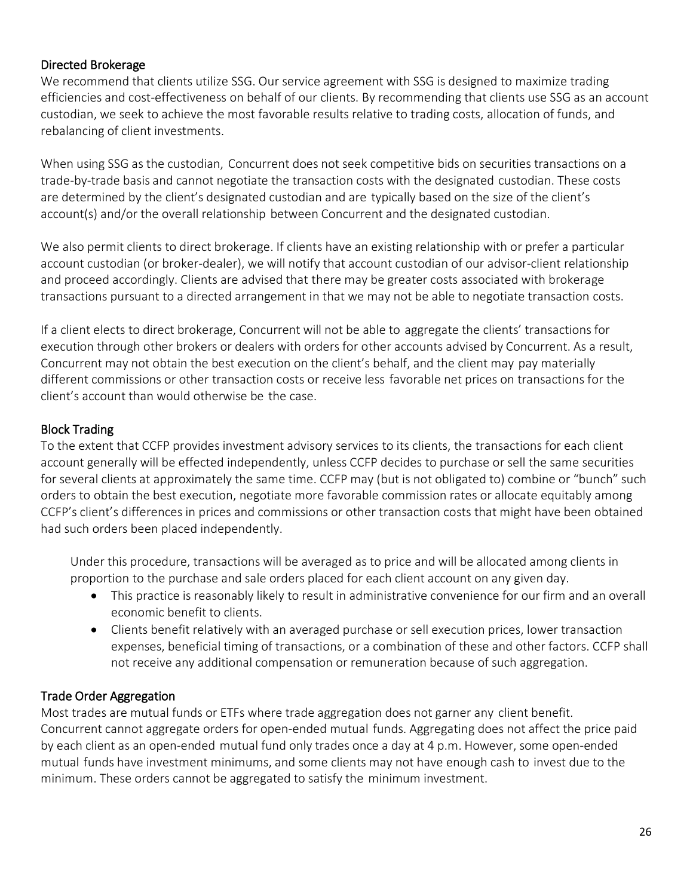#### Directed Brokerage

We recommend that clients utilize SSG. Our service agreement with SSG is designed to maximize trading efficiencies and cost-effectiveness on behalf of our clients. By recommending that clients use SSG as an account custodian, we seek to achieve the most favorable results relative to trading costs, allocation of funds, and rebalancing of client investments.

When using SSG as the custodian, Concurrent does not seek competitive bids on securities transactions on a trade-by-trade basis and cannot negotiate the transaction costs with the designated custodian. These costs are determined by the client's designated custodian and are typically based on the size of the client's account(s) and/or the overall relationship between Concurrent and the designated custodian.

We also permit clients to direct brokerage. If clients have an existing relationship with or prefer a particular account custodian (or broker-dealer), we will notify that account custodian of our advisor-client relationship and proceed accordingly. Clients are advised that there may be greater costs associated with brokerage transactions pursuant to a directed arrangement in that we may not be able to negotiate transaction costs.

If a client elects to direct brokerage, Concurrent will not be able to aggregate the clients' transactions for execution through other brokers or dealers with orders for other accounts advised by Concurrent. As a result, Concurrent may not obtain the best execution on the client's behalf, and the client may pay materially different commissions or other transaction costs or receive less favorable net prices on transactions for the client's account than would otherwise be the case.

#### Block Trading

To the extent that CCFP provides investment advisory services to its clients, the transactions for each client account generally will be effected independently, unless CCFP decides to purchase or sell the same securities for several clients at approximately the same time. CCFP may (but is not obligated to) combine or "bunch" such orders to obtain the best execution, negotiate more favorable commission rates or allocate equitably among CCFP's client's differences in prices and commissions or other transaction costs that might have been obtained had such orders been placed independently.

Under this procedure, transactions will be averaged as to price and will be allocated among clients in proportion to the purchase and sale orders placed for each client account on any given day.

- This practice is reasonably likely to result in administrative convenience for our firm and an overall economic benefit to clients.
- Clients benefit relatively with an averaged purchase or sell execution prices, lower transaction expenses, beneficial timing of transactions, or a combination of these and other factors. CCFP shall not receive any additional compensation or remuneration because of such aggregation.

## Trade Order Aggregation

Most trades are mutual funds or ETFs where trade aggregation does not garner any client benefit. Concurrent cannot aggregate orders for open-ended mutual funds. Aggregating does not affect the price paid by each client as an open-ended mutual fund only trades once a day at 4 p.m. However, some open-ended mutual funds have investment minimums, and some clients may not have enough cash to invest due to the minimum. These orders cannot be aggregated to satisfy the minimum investment.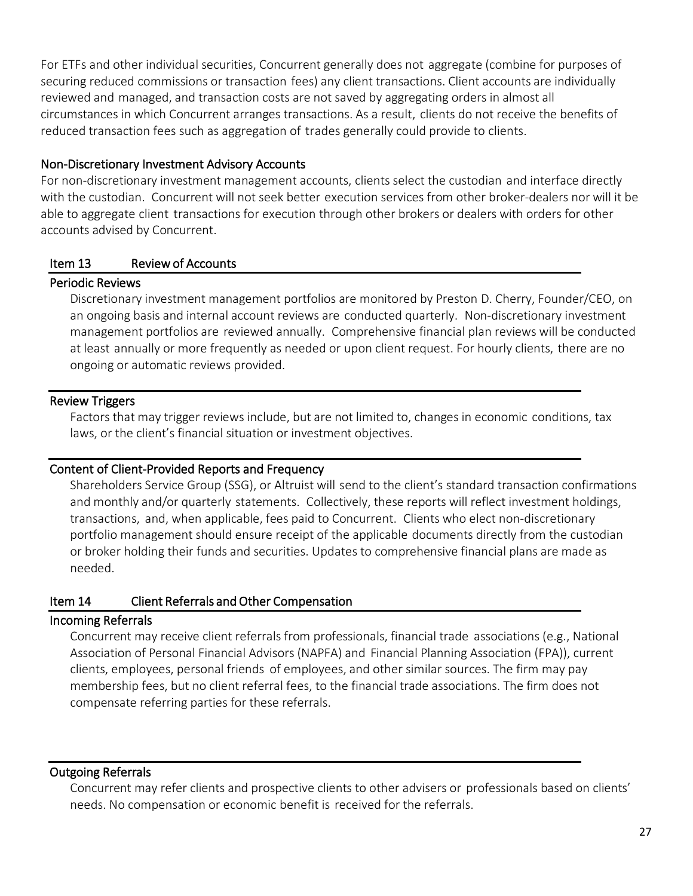For ETFs and other individual securities, Concurrent generally does not aggregate (combine for purposes of securing reduced commissions or transaction fees) any client transactions. Client accounts are individually reviewed and managed, and transaction costs are not saved by aggregating orders in almost all circumstances in which Concurrent arranges transactions. As a result, clients do not receive the benefits of reduced transaction fees such as aggregation of trades generally could provide to clients.

#### Non-Discretionary Investment Advisory Accounts

For non-discretionary investment management accounts, clients select the custodian and interface directly with the custodian. Concurrent will not seek better execution services from other broker-dealers nor will it be able to aggregate client transactions for execution through other brokers or dealers with orders for other accounts advised by Concurrent.

#### <span id="page-26-0"></span>Item 13 Review of Accounts

#### Periodic Reviews

Discretionary investment management portfolios are monitored by Preston D. Cherry, Founder/CEO, on an ongoing basis and internal account reviews are conducted quarterly. Non-discretionary investment management portfolios are reviewed annually. Comprehensive financial plan reviews will be conducted at least annually or more frequently as needed or upon client request. For hourly clients, there are no ongoing or automatic reviews provided.

## Review Triggers

Factors that may trigger reviews include, but are not limited to, changes in economic conditions, tax laws, or the client's financial situation or investment objectives.

#### Content of Client-Provided Reports and Frequency

Shareholders Service Group (SSG), or Altruist will send to the client's standard transaction confirmations and monthly and/or quarterly statements. Collectively, these reports will reflect investment holdings, transactions, and, when applicable, fees paid to Concurrent. Clients who elect non-discretionary portfolio management should ensure receipt of the applicable documents directly from the custodian or broker holding their funds and securities. Updates to comprehensive financial plans are made as needed.

## <span id="page-26-1"></span>Item 14 Client Referrals and Other Compensation

## Incoming Referrals

Concurrent may receive client referrals from professionals, financial trade associations (e.g., National Association of Personal Financial Advisors (NAPFA) and Financial Planning Association (FPA)), current clients, employees, personal friends of employees, and other similar sources. The firm may pay membership fees, but no client referral fees, to the financial trade associations. The firm does not compensate referring parties for these referrals.

## Outgoing Referrals

Concurrent may refer clients and prospective clients to other advisers or professionals based on clients' needs. No compensation or economic benefit is received for the referrals.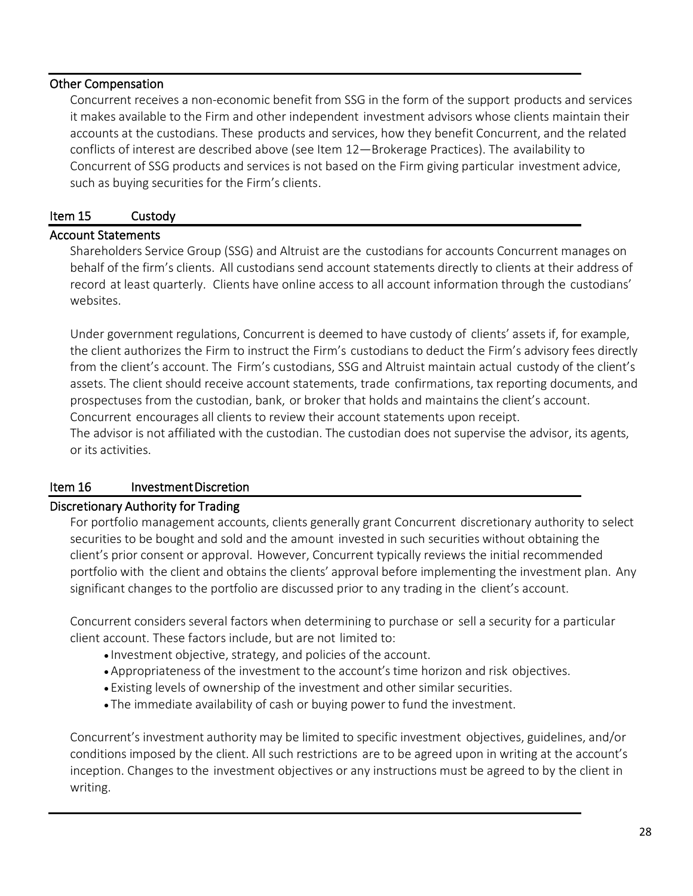#### Other Compensation

Concurrent receives a non-economic benefit from SSG in the form of the support products and services it makes available to the Firm and other independent investment advisors whose clients maintain their accounts at the custodians. These products and services, how they benefit Concurrent, and the related conflicts of interest are described above (see Item 12—Brokerage Practices). The availability to Concurrent of SSG products and services is not based on the Firm giving particular investment advice, such as buying securities for the Firm's clients.

#### <span id="page-27-0"></span>Item 15 Custody

#### Account Statements

Shareholders Service Group (SSG) and Altruist are the custodians for accounts Concurrent manages on behalf of the firm's clients. All custodians send account statements directly to clients at their address of record at least quarterly. Clients have online access to all account information through the custodians' websites.

Under government regulations, Concurrent is deemed to have custody of clients' assets if, for example, the client authorizes the Firm to instruct the Firm's custodians to deduct the Firm's advisory fees directly from the client's account. The Firm's custodians, SSG and Altruist maintain actual custody of the client's assets. The client should receive account statements, trade confirmations, tax reporting documents, and prospectuses from the custodian, bank, or broker that holds and maintains the client's account. Concurrent encourages all clients to review their account statements upon receipt.

The advisor is not affiliated with the custodian. The custodian does not supervise the advisor, its agents, or its activities.

## <span id="page-27-1"></span>Item 16 Investment Discretion

#### Discretionary Authority for Trading

For portfolio management accounts, clients generally grant Concurrent discretionary authority to select securities to be bought and sold and the amount invested in such securities without obtaining the client's prior consent or approval. However, Concurrent typically reviews the initial recommended portfolio with the client and obtains the clients' approval before implementing the investment plan. Any significant changes to the portfolio are discussed prior to any trading in the client's account.

Concurrent considers several factors when determining to purchase or sell a security for a particular client account. These factors include, but are not limited to:

- Investment objective, strategy, and policies of the account.
- Appropriateness of the investment to the account's time horizon and risk objectives.
- Existing levels of ownership of the investment and other similar securities.
- The immediate availability of cash or buying power to fund the investment.

Concurrent's investment authority may be limited to specific investment objectives, guidelines, and/or conditions imposed by the client. All such restrictions are to be agreed upon in writing at the account's inception. Changes to the investment objectives or any instructions must be agreed to by the client in writing.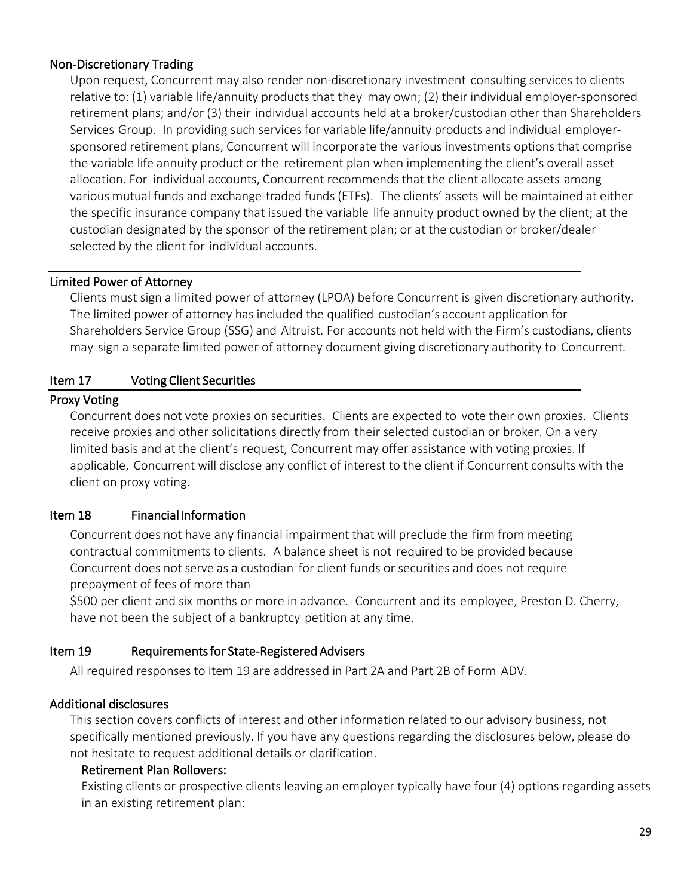#### Non-Discretionary Trading

Upon request, Concurrent may also render non-discretionary investment consulting services to clients relative to: (1) variable life/annuity products that they may own; (2) their individual employer-sponsored retirement plans; and/or (3) their individual accounts held at a broker/custodian other than Shareholders Services Group. In providing such services for variable life/annuity products and individual employersponsored retirement plans, Concurrent will incorporate the various investments options that comprise the variable life annuity product or the retirement plan when implementing the client's overall asset allocation. For individual accounts, Concurrent recommends that the client allocate assets among various mutual funds and exchange-traded funds (ETFs). The clients' assets will be maintained at either the specific insurance company that issued the variable life annuity product owned by the client; at the custodian designated by the sponsor of the retirement plan; or at the custodian or broker/dealer selected by the client for individual accounts.

#### Limited Power of Attorney

Clients must sign a limited power of attorney (LPOA) before Concurrent is given discretionary authority. The limited power of attorney has included the qualified custodian's account application for Shareholders Service Group (SSG) and Altruist. For accounts not held with the Firm's custodians, clients may sign a separate limited power of attorney document giving discretionary authority to Concurrent.

#### <span id="page-28-0"></span>Item 17 Voting Client Securities

#### Proxy Voting

Concurrent does not vote proxies on securities. Clients are expected to vote their own proxies. Clients receive proxies and other solicitations directly from their selected custodian or broker. On a very limited basis and at the client's request, Concurrent may offer assistance with voting proxies. If applicable, Concurrent will disclose any conflict of interest to the client if Concurrent consults with the client on proxy voting.

#### <span id="page-28-1"></span>Item 18 Financial Information

Concurrent does not have any financial impairment that will preclude the firm from meeting contractual commitments to clients. A balance sheet is not required to be provided because Concurrent does not serve as a custodian for client funds or securities and does not require prepayment of fees of more than

\$500 per client and six months or more in advance. Concurrent and its employee, Preston D. Cherry, have not been the subject of a bankruptcy petition at any time.

#### <span id="page-28-2"></span>Item 19 Requirements for State-Registered Advisers

All required responses to Item 19 are addressed in Part 2A and Part 2B of Form ADV.

#### Additional disclosures

This section covers conflicts of interest and other information related to our advisory business, not specifically mentioned previously. If you have any questions regarding the disclosures below, please do not hesitate to request additional details or clarification.

#### Retirement Plan Rollovers:

Existing clients or prospective clients leaving an employer typically have four (4) options regarding assets in an existing retirement plan: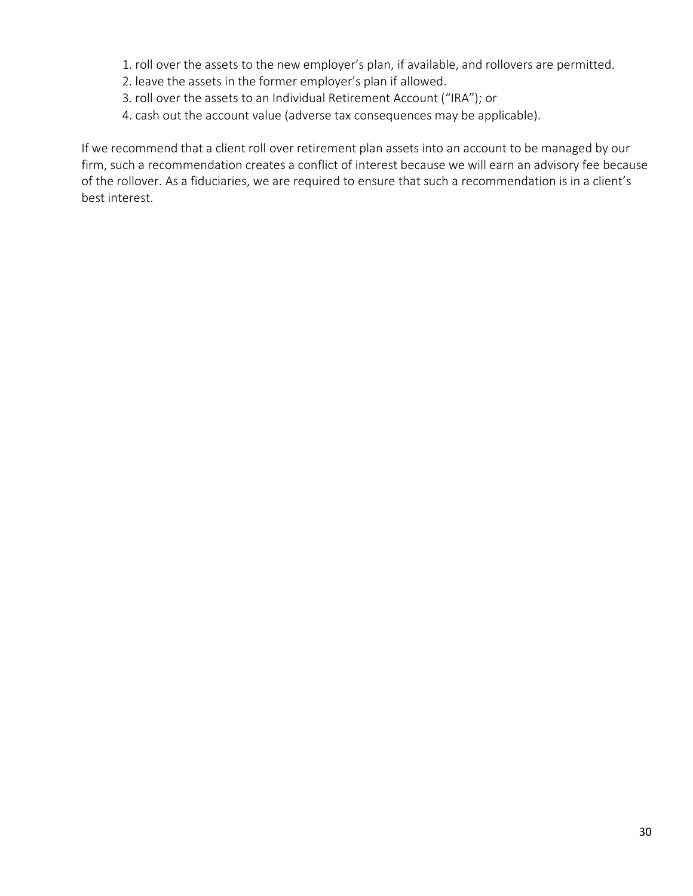- 1. roll over the assets to the new employer's plan, if available, and rollovers are permitted.
- 2. leave the assets in the former employer's plan if allowed.
- 3. roll over the assets to an Individual Retirement Account ("IRA"); or
- 4. cash out the account value (adverse tax consequences may be applicable).

If we recommend that a client roll over retirement plan assets into an account to be managed by our firm, such a recommendation creates a conflict of interest because we will earn an advisory fee because of the rollover. As a fiduciaries, we are required to ensure that such a recommendation is in a client's best interest.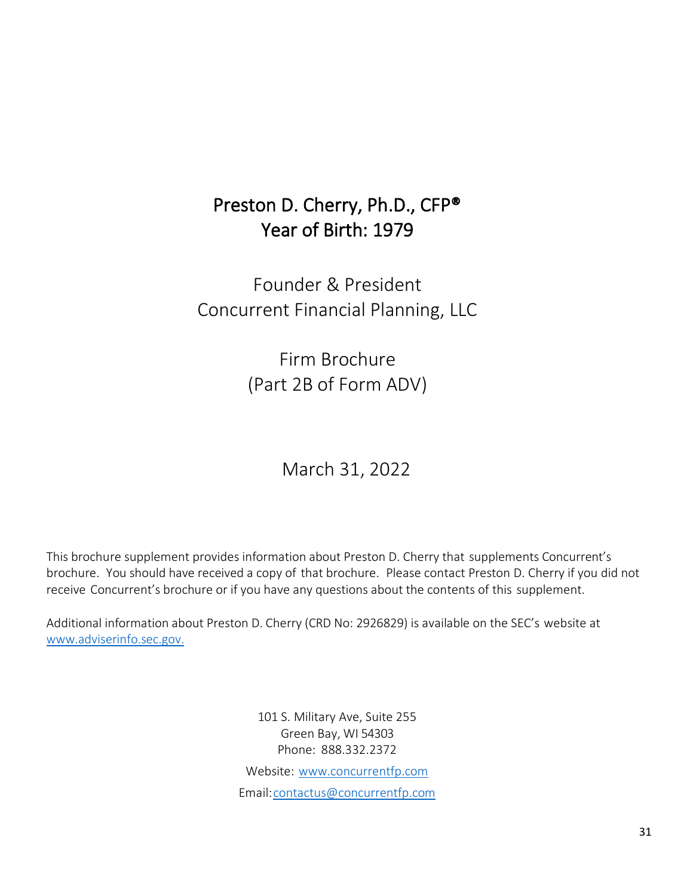# Preston D. Cherry, Ph.D., CFP® Year of Birth: 1979

<span id="page-30-0"></span>Founder & President Concurrent Financial Planning, LLC

> Firm Brochure (Part 2B of Form ADV)

> > March 31, 2022

<span id="page-30-1"></span>This brochure supplement provides information about Preston D. Cherry that supplements Concurrent's brochure. You should have received a copy of that brochure. Please contact Preston D. Cherry if you did not receive Concurrent's brochure or if you have any questions about the contents of this supplement.

Additional information about Preston D. Cherry (CRD No: 2926829) is available on the SEC's website at [www.adviserinfo.sec.gov.](http://www.adviserinfo.sec.gov./)

> 101 S. Military Ave, Suite 255 Green Bay, WI 54303 Phone: 888.332.2372 Website: [www.concurrentfp.com](http://www.concurrentfp.com/) Email[:contactus@concurrentfp.com](mailto:contactus@concurrentfp.com)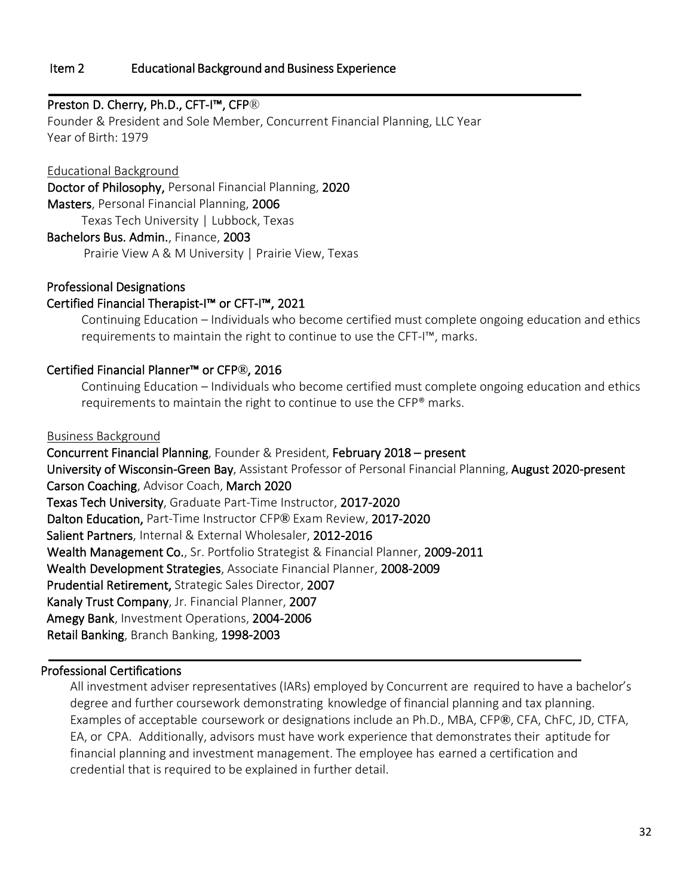#### <span id="page-31-0"></span>Item 2 Educational Background and Business Experience

#### Preston D. Cherry, Ph.D., CFT-I™, CFP®

Founder & President and Sole Member, Concurrent Financial Planning, LLC Year Year of Birth: 1979

Educational Background Doctor of Philosophy, Personal Financial Planning, 2020 Masters, Personal Financial Planning, 2006 Texas Tech University | Lubbock, Texas Bachelors Bus. Admin., Finance, 2003 Prairie View A & M University | Prairie View, Texas

#### Professional Designations

#### Certified Financial Therapist-I™ or CFT-I™, 2021

Continuing Education – Individuals who become certified must complete ongoing education and ethics requirements to maintain the right to continue to use the CFT-I™, marks.

#### Certified Financial Planner™ or CFP**®**, 2016

Continuing Education – Individuals who become certified must complete ongoing education and ethics requirements to maintain the right to continue to use the CFP® marks.

#### Business Background

 Concurrent Financial Planning, Founder & President, February 2018 – present University of Wisconsin-Green Bay, Assistant Professor of Personal Financial Planning, August 2020-present Carson Coaching, Advisor Coach, March 2020 Texas Tech University, Graduate Part-Time Instructor, 2017-2020 Dalton Education, Part-Time Instructor CFP**®** Exam Review, 2017-2020 Salient Partners, Internal & External Wholesaler, 2012-2016 Wealth Management Co., Sr. Portfolio Strategist & Financial Planner, 2009-2011 Wealth Development Strategies, Associate Financial Planner, 2008-2009 Prudential Retirement, Strategic Sales Director, 2007 Kanaly Trust Company, Jr. Financial Planner, 2007 Amegy Bank, Investment Operations, 2004-2006 Retail Banking, Branch Banking, 1998-2003

#### Professional Certifications

All investment adviser representatives (IARs) employed by Concurrent are required to have a bachelor's degree and further coursework demonstrating knowledge of financial planning and tax planning. Examples of acceptable coursework or designations include an Ph.D., MBA, CFP**®**, CFA, ChFC, JD, CTFA, EA, or CPA. Additionally, advisors must have work experience that demonstrates their aptitude for financial planning and investment management. The employee has earned a certification and credential that is required to be explained in further detail.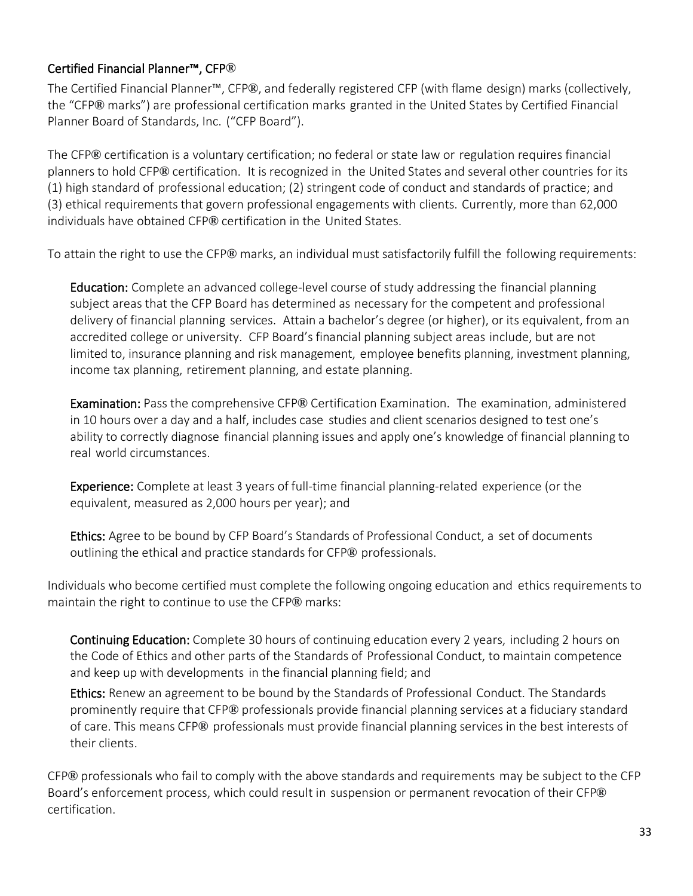# Certified Financial Planner™, CFP**®**

The Certified Financial Planner™, CFP**®**, and federally registered CFP (with flame design) marks (collectively, the "CFP**®** marks") are professional certification marks granted in the United States by Certified Financial Planner Board of Standards, Inc. ("CFP Board").

The CFP**®** certification is a voluntary certification; no federal or state law or regulation requires financial planners to hold CFP**®** certification. It is recognized in the United States and several other countries for its (1) high standard of professional education; (2) stringent code of conduct and standards of practice; and (3) ethical requirements that govern professional engagements with clients. Currently, more than 62,000 individuals have obtained CFP**®** certification in the United States.

To attain the right to use the CFP**®** marks, an individual must satisfactorily fulfill the following requirements:

Education: Complete an advanced college-level course of study addressing the financial planning subject areas that the CFP Board has determined as necessary for the competent and professional delivery of financial planning services. Attain a bachelor's degree (or higher), or its equivalent, from an accredited college or university. CFP Board's financial planning subject areas include, but are not limited to, insurance planning and risk management, employee benefits planning, investment planning, income tax planning, retirement planning, and estate planning.

Examination: Pass the comprehensive CFP**®** Certification Examination. The examination, administered in 10 hours over a day and a half, includes case studies and client scenarios designed to test one's ability to correctly diagnose financial planning issues and apply one's knowledge of financial planning to real world circumstances.

Experience: Complete at least 3 years of full-time financial planning-related experience (or the equivalent, measured as 2,000 hours per year); and

Ethics: Agree to be bound by CFP Board's Standards of Professional Conduct, a set of documents outlining the ethical and practice standards for CFP**®** professionals.

Individuals who become certified must complete the following ongoing education and ethics requirements to maintain the right to continue to use the CFP**®** marks:

Continuing Education: Complete 30 hours of continuing education every 2 years, including 2 hours on the Code of Ethics and other parts of the Standards of Professional Conduct, to maintain competence and keep up with developments in the financial planning field; and

Ethics: Renew an agreement to be bound by the Standards of Professional Conduct. The Standards prominently require that CFP**®** professionals provide financial planning services at a fiduciary standard of care. This means CFP**®** professionals must provide financial planning services in the best interests of their clients.

CFP**®** professionals who fail to comply with the above standards and requirements may be subject to the CFP Board's enforcement process, which could result in suspension or permanent revocation of their CFP**®** certification.